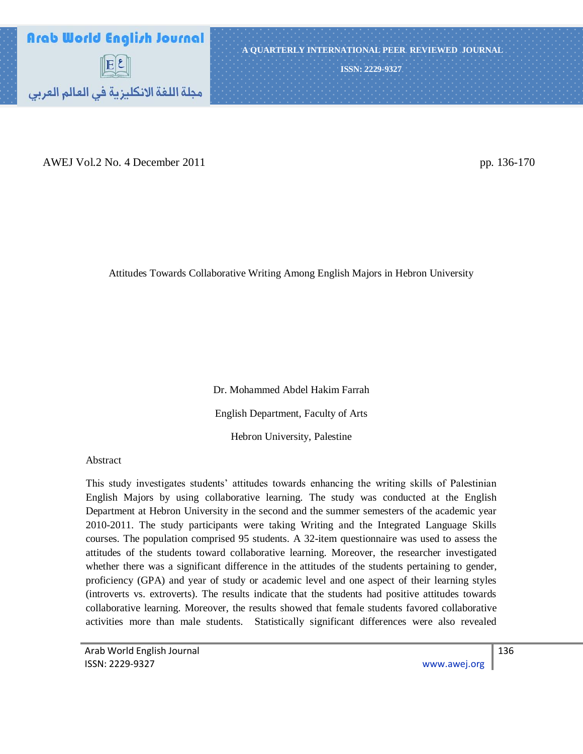

AWEJ Vol.2 No. 4 December 2011 pp. 136-170

Attitudes Towards Collaborative Writing Among English Majors in Hebron University

Dr. Mohammed Abdel Hakim Farrah English Department, Faculty of Arts Hebron University, Palestine

Abstract

This study investigates students" attitudes towards enhancing the writing skills of Palestinian English Majors by using collaborative learning. The study was conducted at the English Department at Hebron University in the second and the summer semesters of the academic year 2010-2011. The study participants were taking Writing and the Integrated Language Skills courses. The population comprised 95 students. A 32-item questionnaire was used to assess the attitudes of the students toward collaborative learning. Moreover, the researcher investigated whether there was a significant difference in the attitudes of the students pertaining to gender, proficiency (GPA) and year of study or academic level and one aspect of their learning styles (introverts vs. extroverts). The results indicate that the students had positive attitudes towards collaborative learning. Moreover, the results showed that female students favored collaborative activities more than male students. Statistically significant differences were also revealed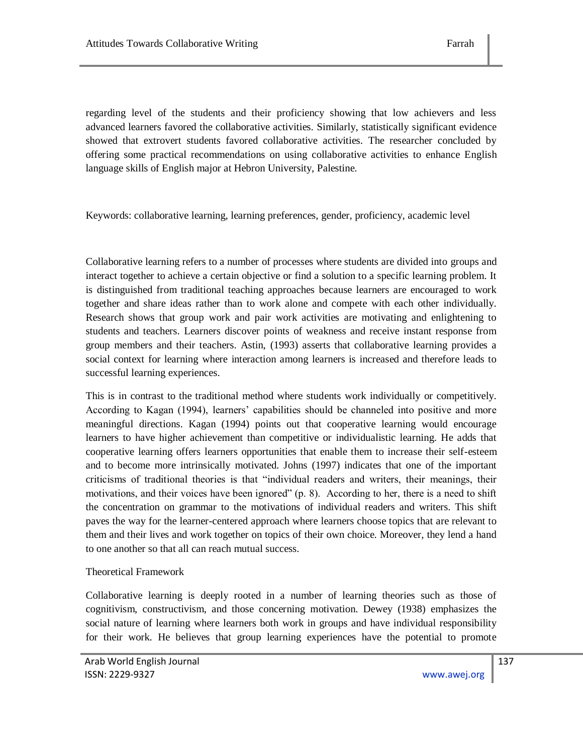regarding level of the students and their proficiency showing that low achievers and less advanced learners favored the collaborative activities. Similarly, statistically significant evidence showed that extrovert students favored collaborative activities. The researcher concluded by offering some practical recommendations on using collaborative activities to enhance English language skills of English major at Hebron University, Palestine.

Keywords: collaborative learning, learning preferences, gender, proficiency, academic level

Collaborative learning refers to a number of processes where students are divided into groups and interact together to achieve a certain objective or find a solution to a specific learning problem. It is distinguished from traditional teaching approaches because learners are encouraged to work together and share ideas rather than to work alone and compete with each other individually. Research shows that group work and pair work activities are motivating and enlightening to students and teachers. Learners discover points of weakness and receive instant response from group members and their teachers. Astin, (1993) asserts that collaborative learning provides a social context for learning where interaction among learners is increased and therefore leads to successful learning experiences.

This is in contrast to the traditional method where students work individually or competitively. According to Kagan (1994), learners" capabilities should be channeled into positive and more meaningful directions. Kagan (1994) points out that cooperative learning would encourage learners to have higher achievement than competitive or individualistic learning. He adds that cooperative learning offers learners opportunities that enable them to increase their self-esteem and to become more intrinsically motivated. Johns (1997) indicates that one of the important criticisms of traditional theories is that "individual readers and writers, their meanings, their motivations, and their voices have been ignored" (p. 8). According to her, there is a need to shift the concentration on grammar to the motivations of individual readers and writers. This shift paves the way for the learner-centered approach where learners choose topics that are relevant to them and their lives and work together on topics of their own choice. Moreover, they lend a hand to one another so that all can reach mutual success.

#### Theoretical Framework

Collaborative learning is deeply rooted in a number of learning theories such as those of cognitivism, constructivism, and those concerning motivation. Dewey (1938) emphasizes the social nature of learning where learners both work in groups and have individual responsibility for their work. He believes that group learning experiences have the potential to promote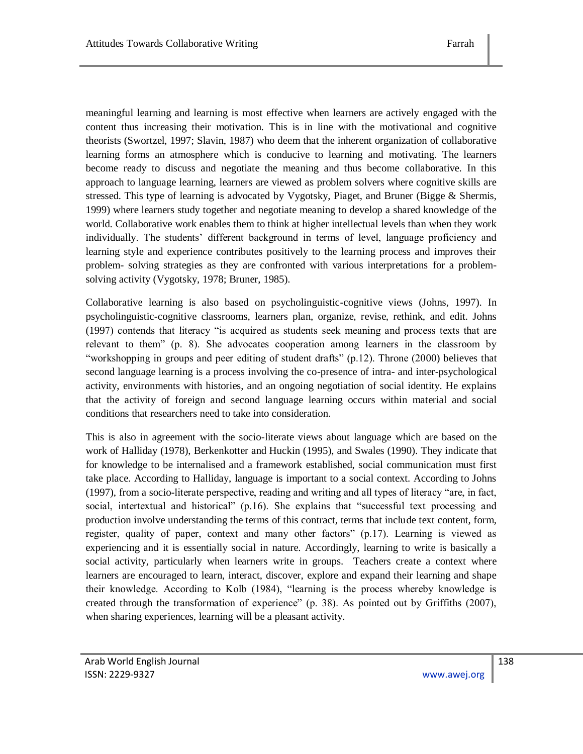meaningful learning and learning is most effective when learners are actively engaged with the content thus increasing their motivation. This is in line with the motivational and cognitive theorists (Swortzel, 1997; Slavin, 1987) who deem that the inherent organization of collaborative learning forms an atmosphere which is conducive to learning and motivating. The learners become ready to discuss and negotiate the meaning and thus become collaborative. In this approach to language learning, learners are viewed as problem solvers where cognitive skills are stressed. This type of learning is advocated by Vygotsky, Piaget, and Bruner (Bigge & Shermis, 1999) where learners study together and negotiate meaning to develop a shared knowledge of the world. Collaborative work enables them to think at higher intellectual levels than when they work individually. The students" different background in terms of level, language proficiency and learning style and experience contributes positively to the learning process and improves their problem- solving strategies as they are confronted with various interpretations for a problemsolving activity (Vygotsky, 1978; Bruner, 1985).

Collaborative learning is also based on psycholinguistic-cognitive views (Johns, 1997). In psycholinguistic-cognitive classrooms, learners plan, organize, revise, rethink, and edit. Johns (1997) contends that literacy "is acquired as students seek meaning and process texts that are relevant to them" (p. 8). She advocates cooperation among learners in the classroom by "workshopping in groups and peer editing of student drafts" (p.12). Throne (2000) believes that second language learning is a process involving the co-presence of intra- and inter-psychological activity, environments with histories, and an ongoing negotiation of social identity. He explains that the activity of foreign and second language learning occurs within material and social conditions that researchers need to take into consideration.

This is also in agreement with the socio-literate views about language which are based on the work of Halliday (1978), Berkenkotter and Huckin (1995), and Swales (1990). They indicate that for knowledge to be internalised and a framework established, social communication must first take place. According to Halliday, language is important to a social context. According to Johns (1997), from a socio-literate perspective, reading and writing and all types of literacy "are, in fact, social, intertextual and historical" (p.16). She explains that "successful text processing and production involve understanding the terms of this contract, terms that include text content, form, register, quality of paper, context and many other factors" (p.17). Learning is viewed as experiencing and it is essentially social in nature. Accordingly, learning to write is basically a social activity, particularly when learners write in groups. Teachers create a context where learners are encouraged to learn, interact, discover, explore and expand their learning and shape their knowledge. According to Kolb (1984), "learning is the process whereby knowledge is created through the transformation of experience" (p. 38). As pointed out by Griffiths (2007), when sharing experiences, learning will be a pleasant activity.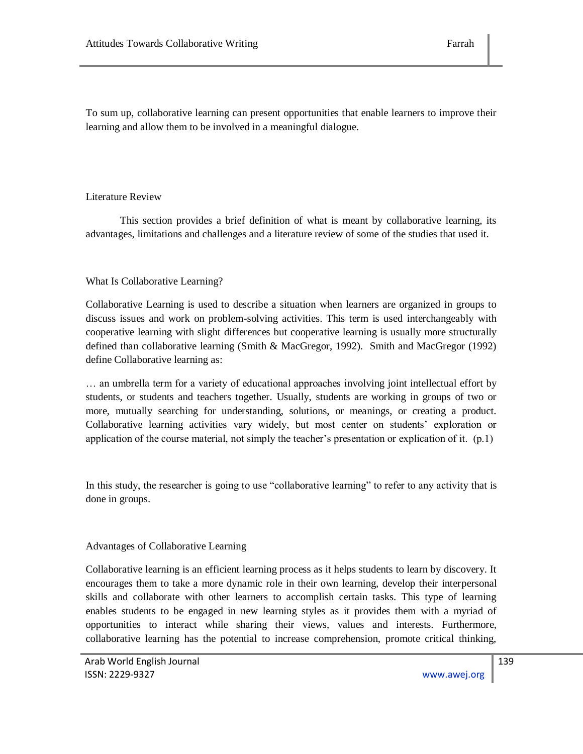To sum up, collaborative learning can present opportunities that enable learners to improve their learning and allow them to be involved in a meaningful dialogue.

## Literature Review

This section provides a brief definition of what is meant by collaborative learning, its advantages, limitations and challenges and a literature review of some of the studies that used it.

## What Is Collaborative Learning?

Collaborative Learning is used to describe a situation when learners are organized in groups to discuss issues and work on problem-solving activities. This term is used interchangeably with cooperative learning with slight differences but cooperative learning is usually more structurally defined than collaborative learning (Smith & MacGregor, 1992). Smith and MacGregor (1992) define Collaborative learning as:

… an umbrella term for a variety of educational approaches involving joint intellectual effort by students, or students and teachers together. Usually, students are working in groups of two or more, mutually searching for understanding, solutions, or meanings, or creating a product. Collaborative learning activities vary widely, but most center on students" exploration or application of the course material, not simply the teacher's presentation or explication of it.  $(p,1)$ 

In this study, the researcher is going to use "collaborative learning" to refer to any activity that is done in groups.

#### Advantages of Collaborative Learning

Collaborative learning is an efficient learning process as it helps students to learn by discovery. It encourages them to take a more dynamic role in their own learning, develop their interpersonal skills and collaborate with other learners to accomplish certain tasks. This type of learning enables students to be engaged in new learning styles as it provides them with a myriad of opportunities to interact while sharing their views, values and interests. Furthermore, collaborative learning has the potential to increase comprehension, promote critical thinking,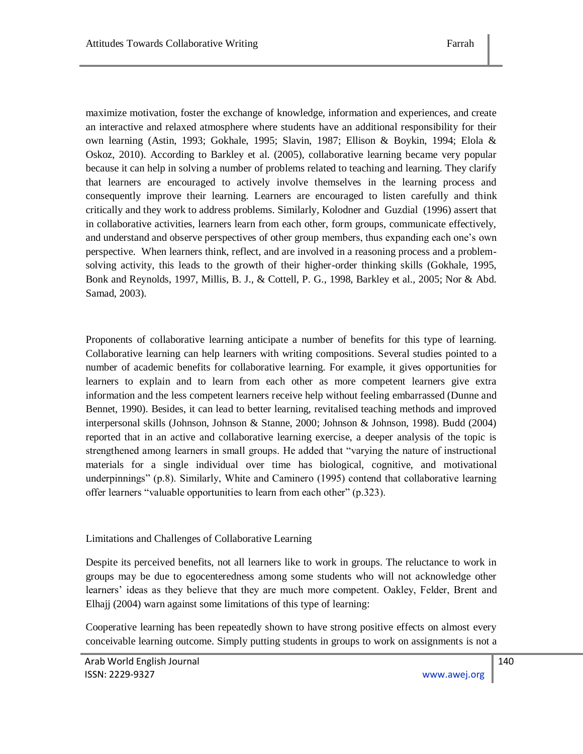maximize motivation, foster the exchange of knowledge, information and experiences, and create an interactive and relaxed atmosphere where students have an additional responsibility for their own learning (Astin, 1993; Gokhale, 1995; Slavin, 1987; Ellison & Boykin, 1994; Elola & Oskoz, 2010). According to Barkley et al. (2005), collaborative learning became very popular because it can help in solving a number of problems related to teaching and learning. They clarify that learners are encouraged to actively involve themselves in the learning process and consequently improve their learning. Learners are encouraged to listen carefully and think critically and they work to address problems. Similarly, Kolodner and Guzdial (1996) assert that in collaborative activities, learners learn from each other, form groups, communicate effectively, and understand and observe perspectives of other group members, thus expanding each one"s own perspective. When learners think, reflect, and are involved in a reasoning process and a problemsolving activity, this leads to the growth of their higher-order thinking skills (Gokhale, 1995, Bonk and Reynolds, 1997, Millis, B. J., & Cottell, P. G., 1998, Barkley et al., 2005; Nor & Abd. Samad, 2003).

Proponents of collaborative learning anticipate a number of benefits for this type of learning. Collaborative learning can help learners with writing compositions. Several studies pointed to a number of academic benefits for collaborative learning. For example, it gives opportunities for learners to explain and to learn from each other as more competent learners give extra information and the less competent learners receive help without feeling embarrassed (Dunne and Bennet, 1990). Besides, it can lead to better learning, revitalised teaching methods and improved interpersonal skills (Johnson, Johnson & Stanne, 2000; Johnson & Johnson, 1998). Budd (2004) reported that in an active and collaborative learning exercise, a deeper analysis of the topic is strengthened among learners in small groups. He added that "varying the nature of instructional materials for a single individual over time has biological, cognitive, and motivational underpinnings" (p.8). Similarly, White and Caminero (1995) contend that collaborative learning offer learners "valuable opportunities to learn from each other" (p.323).

### Limitations and Challenges of Collaborative Learning

Despite its perceived benefits, not all learners like to work in groups. The reluctance to work in groups may be due to egocenteredness among some students who will not acknowledge other learners" ideas as they believe that they are much more competent. Oakley, Felder, Brent and Elhajj (2004) warn against some limitations of this type of learning:

Cooperative learning has been repeatedly shown to have strong positive effects on almost every conceivable learning outcome. Simply putting students in groups to work on assignments is not a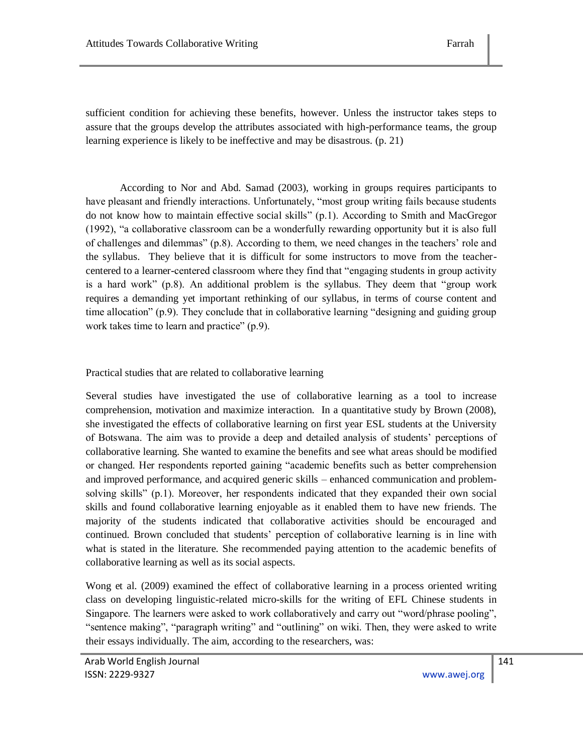sufficient condition for achieving these benefits, however. Unless the instructor takes steps to assure that the groups develop the attributes associated with high-performance teams, the group learning experience is likely to be ineffective and may be disastrous. (p. 21)

According to Nor and Abd. Samad (2003), working in groups requires participants to have pleasant and friendly interactions. Unfortunately, "most group writing fails because students do not know how to maintain effective social skills" (p.1). According to Smith and MacGregor (1992), "a collaborative classroom can be a wonderfully rewarding opportunity but it is also full of challenges and dilemmas" (p.8). According to them, we need changes in the teachers" role and the syllabus. They believe that it is difficult for some instructors to move from the teachercentered to a learner-centered classroom where they find that "engaging students in group activity is a hard work" (p.8). An additional problem is the syllabus. They deem that "group work requires a demanding yet important rethinking of our syllabus, in terms of course content and time allocation" (p.9). They conclude that in collaborative learning "designing and guiding group work takes time to learn and practice" (p.9).

#### Practical studies that are related to collaborative learning

Several studies have investigated the use of collaborative learning as a tool to increase comprehension, motivation and maximize interaction. In a quantitative study by Brown (2008), she investigated the effects of collaborative learning on first year ESL students at the University of Botswana. The aim was to provide a deep and detailed analysis of students" perceptions of collaborative learning. She wanted to examine the benefits and see what areas should be modified or changed. Her respondents reported gaining "academic benefits such as better comprehension and improved performance, and acquired generic skills – enhanced communication and problemsolving skills" (p.1). Moreover, her respondents indicated that they expanded their own social skills and found collaborative learning enjoyable as it enabled them to have new friends. The majority of the students indicated that collaborative activities should be encouraged and continued. Brown concluded that students" perception of collaborative learning is in line with what is stated in the literature. She recommended paying attention to the academic benefits of collaborative learning as well as its social aspects.

Wong et al. (2009) examined the effect of collaborative learning in a process oriented writing class on developing linguistic-related micro-skills for the writing of EFL Chinese students in Singapore. The learners were asked to work collaboratively and carry out "word/phrase pooling", "sentence making", "paragraph writing" and "outlining" on wiki. Then, they were asked to write their essays individually. The aim, according to the researchers, was: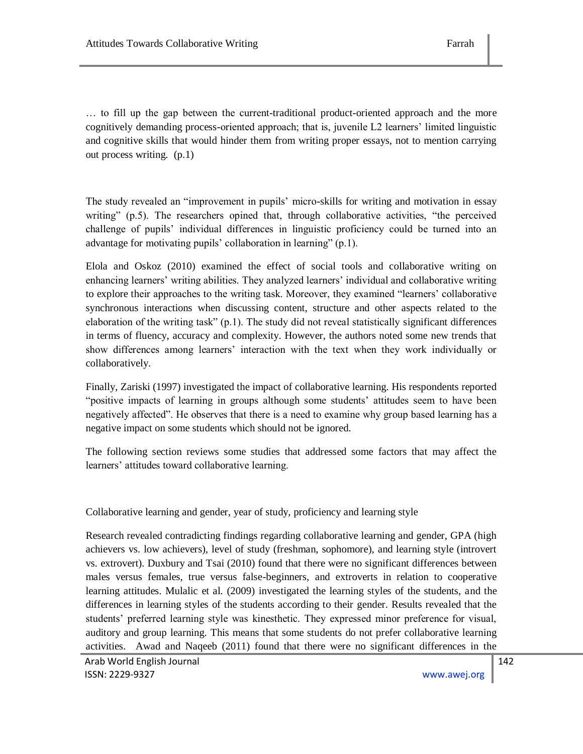… to fill up the gap between the current-traditional product-oriented approach and the more cognitively demanding process-oriented approach; that is, juvenile L2 learners" limited linguistic and cognitive skills that would hinder them from writing proper essays, not to mention carrying out process writing. (p.1)

The study revealed an "improvement in pupils" micro-skills for writing and motivation in essay writing" (p.5). The researchers opined that, through collaborative activities, "the perceived challenge of pupils" individual differences in linguistic proficiency could be turned into an advantage for motivating pupils' collaboration in learning"  $(p,1)$ .

Elola and Oskoz (2010) examined the effect of social tools and collaborative writing on enhancing learners' writing abilities. They analyzed learners' individual and collaborative writing to explore their approaches to the writing task. Moreover, they examined "learners" collaborative synchronous interactions when discussing content, structure and other aspects related to the elaboration of the writing task" (p.1). The study did not reveal statistically significant differences in terms of fluency, accuracy and complexity. However, the authors noted some new trends that show differences among learners" interaction with the text when they work individually or collaboratively.

Finally, Zariski (1997) investigated the impact of collaborative learning. His respondents reported "positive impacts of learning in groups although some students" attitudes seem to have been negatively affected". He observes that there is a need to examine why group based learning has a negative impact on some students which should not be ignored.

The following section reviews some studies that addressed some factors that may affect the learners' attitudes toward collaborative learning.

Collaborative learning and gender, year of study, proficiency and learning style

Research revealed contradicting findings regarding collaborative learning and gender, GPA (high achievers vs. low achievers), level of study (freshman, sophomore), and learning style (introvert vs. extrovert). Duxbury and Tsai (2010) found that there were no significant differences between males versus females, true versus false-beginners, and extroverts in relation to cooperative learning attitudes. Mulalic et al. (2009) investigated the learning styles of the students, and the differences in learning styles of the students according to their gender. Results revealed that the students" preferred learning style was kinesthetic. They expressed minor preference for visual, auditory and group learning. This means that some students do not prefer collaborative learning activities. Awad and Naqeeb (2011) found that there were no significant differences in the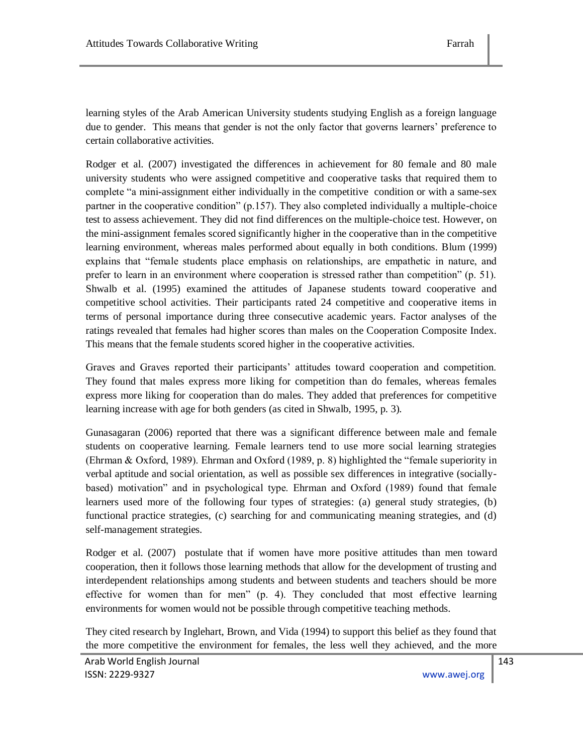learning styles of the Arab American University students studying English as a foreign language due to gender. This means that gender is not the only factor that governs learners" preference to certain collaborative activities.

Rodger et al. (2007) investigated the differences in achievement for 80 female and 80 male university students who were assigned competitive and cooperative tasks that required them to complete "a mini-assignment either individually in the competitive condition or with a same-sex partner in the cooperative condition" (p.157). They also completed individually a multiple-choice test to assess achievement. They did not find differences on the multiple-choice test. However, on the mini-assignment females scored significantly higher in the cooperative than in the competitive learning environment, whereas males performed about equally in both conditions. Blum (1999) explains that "female students place emphasis on relationships, are empathetic in nature, and prefer to learn in an environment where cooperation is stressed rather than competition" (p. 51). Shwalb et al. (1995) examined the attitudes of Japanese students toward cooperative and competitive school activities. Their participants rated 24 competitive and cooperative items in terms of personal importance during three consecutive academic years. Factor analyses of the ratings revealed that females had higher scores than males on the Cooperation Composite Index. This means that the female students scored higher in the cooperative activities.

Graves and Graves reported their participants" attitudes toward cooperation and competition. They found that males express more liking for competition than do females, whereas females express more liking for cooperation than do males. They added that preferences for competitive learning increase with age for both genders (as cited in Shwalb, 1995, p. 3).

Gunasagaran (2006) reported that there was a significant difference between male and female students on cooperative learning. Female learners tend to use more social learning strategies (Ehrman & Oxford, 1989). Ehrman and Oxford (1989, p. 8) highlighted the "female superiority in verbal aptitude and social orientation, as well as possible sex differences in integrative (sociallybased) motivation" and in psychological type. Ehrman and Oxford (1989) found that female learners used more of the following four types of strategies: (a) general study strategies, (b) functional practice strategies, (c) searching for and communicating meaning strategies, and (d) self-management strategies.

Rodger et al. (2007) postulate that if women have more positive attitudes than men toward cooperation, then it follows those learning methods that allow for the development of trusting and interdependent relationships among students and between students and teachers should be more effective for women than for men" (p. 4). They concluded that most effective learning environments for women would not be possible through competitive teaching methods.

They cited research by Inglehart, Brown, and Vida (1994) to support this belief as they found that the more competitive the environment for females, the less well they achieved, and the more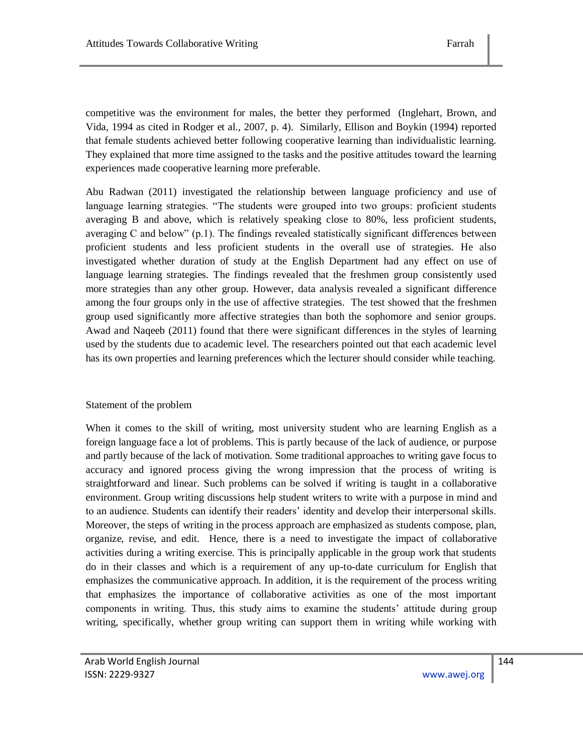competitive was the environment for males, the better they performed (Inglehart, Brown, and Vida, 1994 as cited in Rodger et al., 2007, p. 4). Similarly, Ellison and Boykin (1994) reported that female students achieved better following cooperative learning than individualistic learning. They explained that more time assigned to the tasks and the positive attitudes toward the learning experiences made cooperative learning more preferable.

Abu Radwan (2011) investigated the relationship between language proficiency and use of language learning strategies. "The students were grouped into two groups: proficient students averaging B and above, which is relatively speaking close to 80%, less proficient students, averaging C and below" (p.1). The findings revealed statistically significant differences between proficient students and less proficient students in the overall use of strategies. He also investigated whether duration of study at the English Department had any effect on use of language learning strategies. The findings revealed that the freshmen group consistently used more strategies than any other group. However, data analysis revealed a significant difference among the four groups only in the use of affective strategies. The test showed that the freshmen group used significantly more affective strategies than both the sophomore and senior groups. Awad and Naqeeb (2011) found that there were significant differences in the styles of learning used by the students due to academic level. The researchers pointed out that each academic level has its own properties and learning preferences which the lecturer should consider while teaching.

#### Statement of the problem

When it comes to the skill of writing, most university student who are learning English as a foreign language face a lot of problems. This is partly because of the lack of audience, or purpose and partly because of the lack of motivation. Some traditional approaches to writing gave focus to accuracy and ignored process giving the wrong impression that the process of writing is straightforward and linear. Such problems can be solved if writing is taught in a collaborative environment. Group writing discussions help student writers to write with a purpose in mind and to an audience. Students can identify their readers" identity and develop their interpersonal skills. Moreover, the steps of writing in the process approach are emphasized as students compose, plan, organize, revise, and edit. Hence, there is a need to investigate the impact of collaborative activities during a writing exercise. This is principally applicable in the group work that students do in their classes and which is a requirement of any up-to-date curriculum for English that emphasizes the communicative approach. In addition, it is the requirement of the process writing that emphasizes the importance of collaborative activities as one of the most important components in writing. Thus, this study aims to examine the students" attitude during group writing, specifically, whether group writing can support them in writing while working with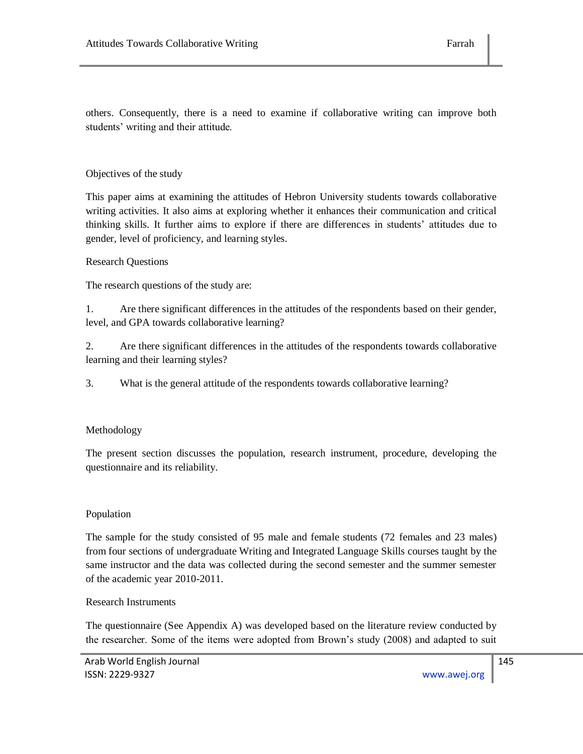others. Consequently, there is a need to examine if collaborative writing can improve both students' writing and their attitude.

# Objectives of the study

This paper aims at examining the attitudes of Hebron University students towards collaborative writing activities. It also aims at exploring whether it enhances their communication and critical thinking skills. It further aims to explore if there are differences in students" attitudes due to gender, level of proficiency, and learning styles.

# Research Questions

The research questions of the study are:

1. Are there significant differences in the attitudes of the respondents based on their gender, level, and GPA towards collaborative learning?

2. Are there significant differences in the attitudes of the respondents towards collaborative learning and their learning styles?

3. What is the general attitude of the respondents towards collaborative learning?

# Methodology

The present section discusses the population, research instrument, procedure, developing the questionnaire and its reliability.

#### Population

The sample for the study consisted of 95 male and female students (72 females and 23 males) from four sections of undergraduate Writing and Integrated Language Skills courses taught by the same instructor and the data was collected during the second semester and the summer semester of the academic year 2010-2011.

### Research Instruments

The questionnaire (See Appendix A) was developed based on the literature review conducted by the researcher. Some of the items were adopted from Brown"s study (2008) and adapted to suit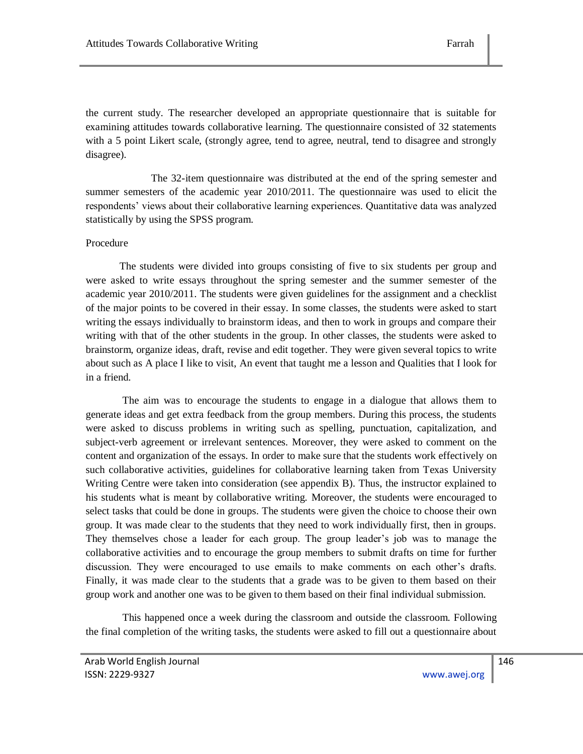the current study. The researcher developed an appropriate questionnaire that is suitable for examining attitudes towards collaborative learning. The questionnaire consisted of 32 statements with a 5 point Likert scale, (strongly agree, tend to agree, neutral, tend to disagree and strongly disagree).

 The 32-item questionnaire was distributed at the end of the spring semester and summer semesters of the academic year 2010/2011. The questionnaire was used to elicit the respondents" views about their collaborative learning experiences. Quantitative data was analyzed statistically by using the SPSS program.

#### Procedure

 The students were divided into groups consisting of five to six students per group and were asked to write essays throughout the spring semester and the summer semester of the academic year 2010/2011. The students were given guidelines for the assignment and a checklist of the major points to be covered in their essay. In some classes, the students were asked to start writing the essays individually to brainstorm ideas, and then to work in groups and compare their writing with that of the other students in the group. In other classes, the students were asked to brainstorm, organize ideas, draft, revise and edit together. They were given several topics to write about such as A place I like to visit, An event that taught me a lesson and Qualities that I look for in a friend.

The aim was to encourage the students to engage in a dialogue that allows them to generate ideas and get extra feedback from the group members. During this process, the students were asked to discuss problems in writing such as spelling, punctuation, capitalization, and subject-verb agreement or irrelevant sentences. Moreover, they were asked to comment on the content and organization of the essays. In order to make sure that the students work effectively on such collaborative activities, guidelines for collaborative learning taken from Texas University Writing Centre were taken into consideration (see appendix B). Thus, the instructor explained to his students what is meant by collaborative writing. Moreover, the students were encouraged to select tasks that could be done in groups. The students were given the choice to choose their own group. It was made clear to the students that they need to work individually first, then in groups. They themselves chose a leader for each group. The group leader"s job was to manage the collaborative activities and to encourage the group members to submit drafts on time for further discussion. They were encouraged to use emails to make comments on each other"s drafts. Finally, it was made clear to the students that a grade was to be given to them based on their group work and another one was to be given to them based on their final individual submission.

This happened once a week during the classroom and outside the classroom. Following the final completion of the writing tasks, the students were asked to fill out a questionnaire about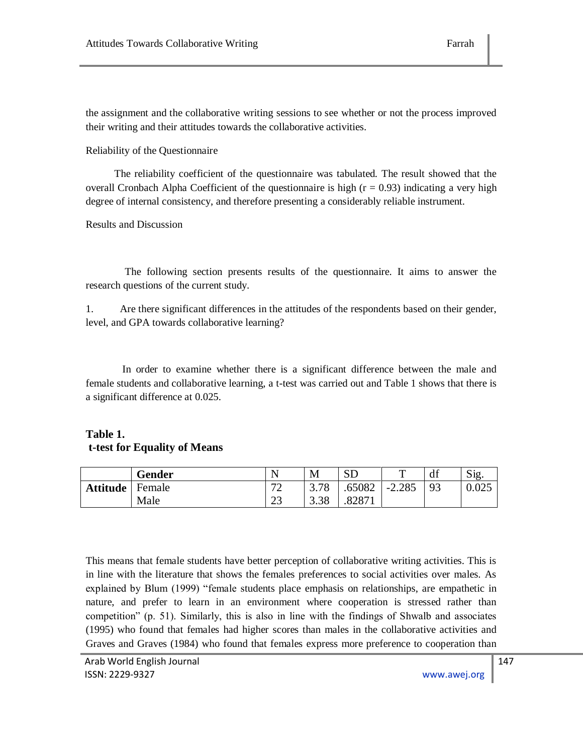the assignment and the collaborative writing sessions to see whether or not the process improved their writing and their attitudes towards the collaborative activities.

Reliability of the Questionnaire

 The reliability coefficient of the questionnaire was tabulated. The result showed that the overall Cronbach Alpha Coefficient of the questionnaire is high  $(r = 0.93)$  indicating a very high degree of internal consistency, and therefore presenting a considerably reliable instrument.

Results and Discussion

 The following section presents results of the questionnaire. It aims to answer the research questions of the current study.

1. Are there significant differences in the attitudes of the respondents based on their gender, level, and GPA towards collaborative learning?

 In order to examine whether there is a significant difference between the male and female students and collaborative learning, a t-test was carried out and Table 1 shows that there is a significant difference at 0.025.

# **Table 1. t-test for Equality of Means**

|                 | <b>Gender</b> |                    | M              | $_{\rm cr}$<br>ື | m                          | df | Sig.  |
|-----------------|---------------|--------------------|----------------|------------------|----------------------------|----|-------|
| <b>Attitude</b> | Female        | $\mathcal{L}$<br>້ | 3.78<br>$\sim$ | 65082            | 2.205<br>$\sim$ .<br>2.20J | 93 | 0.025 |
|                 | Male          | $\bigcap$<br>رے    | 3.38           | 82871            |                            |    |       |

This means that female students have better perception of collaborative writing activities. This is in line with the literature that shows the females preferences to social activities over males. As explained by Blum (1999) "female students place emphasis on relationships, are empathetic in nature, and prefer to learn in an environment where cooperation is stressed rather than competition" (p. 51). Similarly, this is also in line with the findings of Shwalb and associates (1995) who found that females had higher scores than males in the collaborative activities and Graves and Graves (1984) who found that females express more preference to cooperation than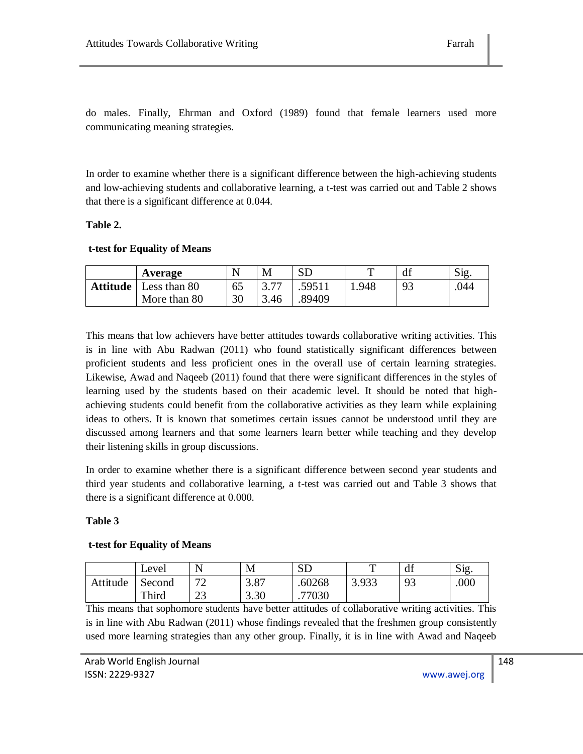do males. Finally, Ehrman and Oxford (1989) found that female learners used more communicating meaning strategies.

In order to examine whether there is a significant difference between the high-achieving students and low-achieving students and collaborative learning, a t-test was carried out and Table 2 shows that there is a significant difference at 0.044.

## **Table 2.**

## **t-test for Equality of Means**

| Average                        |    | М    | <b>SD</b> |      | df | Sig. |
|--------------------------------|----|------|-----------|------|----|------|
| <b>Attitude</b>   Less than 80 | 65 | 2.77 | .59511    | .948 | 93 | .044 |
| More than 80                   | 30 | 3.46 | .89409    |      |    |      |

This means that low achievers have better attitudes towards collaborative writing activities. This is in line with Abu Radwan (2011) who found statistically significant differences between proficient students and less proficient ones in the overall use of certain learning strategies. Likewise, Awad and Naqeeb (2011) found that there were significant differences in the styles of learning used by the students based on their academic level. It should be noted that highachieving students could benefit from the collaborative activities as they learn while explaining ideas to others. It is known that sometimes certain issues cannot be understood until they are discussed among learners and that some learners learn better while teaching and they develop their listening skills in group discussions.

In order to examine whether there is a significant difference between second year students and third year students and collaborative learning, a t-test was carried out and Table 3 shows that there is a significant difference at 0.000.

# **Table 3**

#### **t-test for Equality of Means**

|          | Level  |               | M    | <b>SD</b> |       | u  | $\sim$<br>Sig. |
|----------|--------|---------------|------|-----------|-------|----|----------------|
| Attitude | Second | $\mathcal{L}$ | 3.87 | .60268    | 3.933 | 93 | .000           |
|          | Third  | $\cap$<br>رے  | 3.30 | 77030     |       |    |                |

This means that sophomore students have better attitudes of collaborative writing activities. This is in line with Abu Radwan (2011) whose findings revealed that the freshmen group consistently used more learning strategies than any other group. Finally, it is in line with Awad and Naqeeb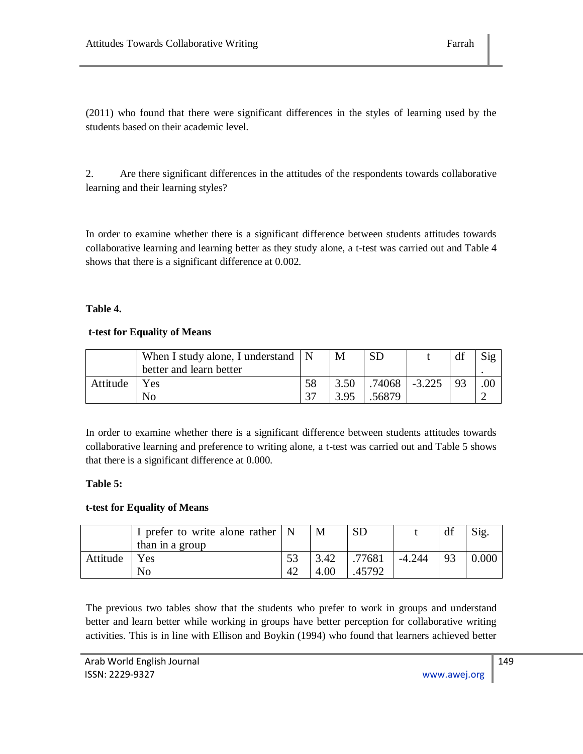(2011) who found that there were significant differences in the styles of learning used by the students based on their academic level.

2. Are there significant differences in the attitudes of the respondents towards collaborative learning and their learning styles?

In order to examine whether there is a significant difference between students attitudes towards collaborative learning and learning better as they study alone, a t-test was carried out and Table 4 shows that there is a significant difference at 0.002.

# **Table 4.**

# **t-test for Equality of Means**

|          | When I study alone, I understand $\vert N \vert$ |    | М    | <b>SD</b>         | df | Sig |
|----------|--------------------------------------------------|----|------|-------------------|----|-----|
|          | better and learn better                          |    |      |                   |    |     |
| Attitude | <b>Yes</b>                                       | 58 | 3.50 | $.74068$ $-3.225$ |    | 00  |
|          | No                                               | 37 | 3.95 | .56879            |    |     |

In order to examine whether there is a significant difference between students attitudes towards collaborative learning and preference to writing alone, a t-test was carried out and Table 5 shows that there is a significant difference at 0.000.

# **Table 5:**

# **t-test for Equality of Means**

|          | I prefer to write alone rather $\vert N \vert$ |    | M    | <b>SD</b> |          | df | Sig.  |
|----------|------------------------------------------------|----|------|-----------|----------|----|-------|
|          | than in a group                                |    |      |           |          |    |       |
| Attitude | Yes                                            |    | 3.42 | .77681    | $-4.244$ | 93 | 0.000 |
|          | No                                             | 42 | 4.00 | 45792     |          |    |       |

The previous two tables show that the students who prefer to work in groups and understand better and learn better while working in groups have better perception for collaborative writing activities. This is in line with Ellison and Boykin (1994) who found that learners achieved better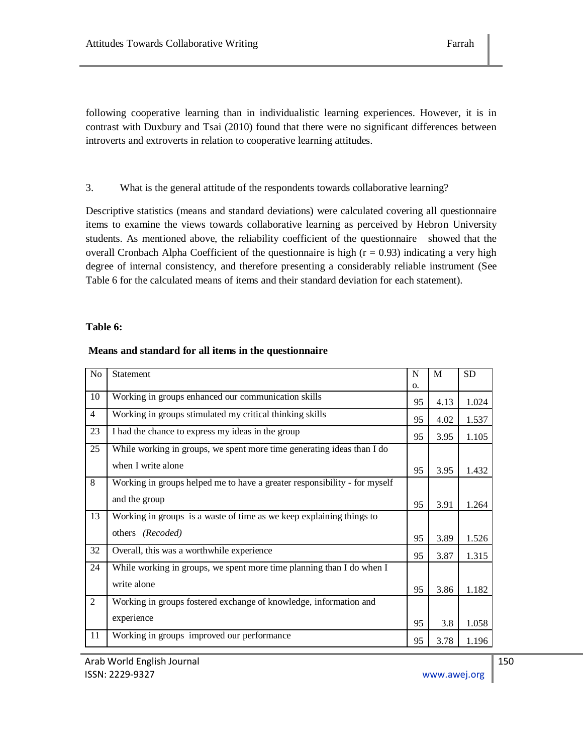following cooperative learning than in individualistic learning experiences. However, it is in contrast with Duxbury and Tsai (2010) found that there were no significant differences between introverts and extroverts in relation to cooperative learning attitudes.

### 3. What is the general attitude of the respondents towards collaborative learning?

Descriptive statistics (means and standard deviations) were calculated covering all questionnaire items to examine the views towards collaborative learning as perceived by Hebron University students. As mentioned above, the reliability coefficient of the questionnaire showed that the overall Cronbach Alpha Coefficient of the questionnaire is high  $(r = 0.93)$  indicating a very high degree of internal consistency, and therefore presenting a considerably reliable instrument (See Table 6 for the calculated means of items and their standard deviation for each statement).

#### **Table 6:**

|  |  |  |  |  |  | Means and standard for all items in the questionnaire |
|--|--|--|--|--|--|-------------------------------------------------------|
|--|--|--|--|--|--|-------------------------------------------------------|

| No             | Statement                                                                 | N  | M    | <b>SD</b> |
|----------------|---------------------------------------------------------------------------|----|------|-----------|
|                |                                                                           | Ο. |      |           |
| 10             | Working in groups enhanced our communication skills                       | 95 | 4.13 | 1.024     |
| $\overline{4}$ | Working in groups stimulated my critical thinking skills                  | 95 | 4.02 | 1.537     |
| 23             | I had the chance to express my ideas in the group                         | 95 | 3.95 | 1.105     |
| 25             | While working in groups, we spent more time generating ideas than I do    |    |      |           |
|                | when I write alone                                                        | 95 | 3.95 | 1.432     |
| 8              | Working in groups helped me to have a greater responsibility - for myself |    |      |           |
|                | and the group                                                             | 95 | 3.91 | 1.264     |
| 13             | Working in groups is a waste of time as we keep explaining things to      |    |      |           |
|                | others (Recoded)                                                          | 95 | 3.89 | 1.526     |
| 32             | Overall, this was a worthwhile experience                                 | 95 | 3.87 | 1.315     |
| 24             | While working in groups, we spent more time planning than I do when I     |    |      |           |
|                | write alone                                                               | 95 | 3.86 | 1.182     |
| 2              | Working in groups fostered exchange of knowledge, information and         |    |      |           |
|                | experience                                                                | 95 | 3.8  | 1.058     |
| 11             | Working in groups improved our performance                                | 95 | 3.78 | 1.196     |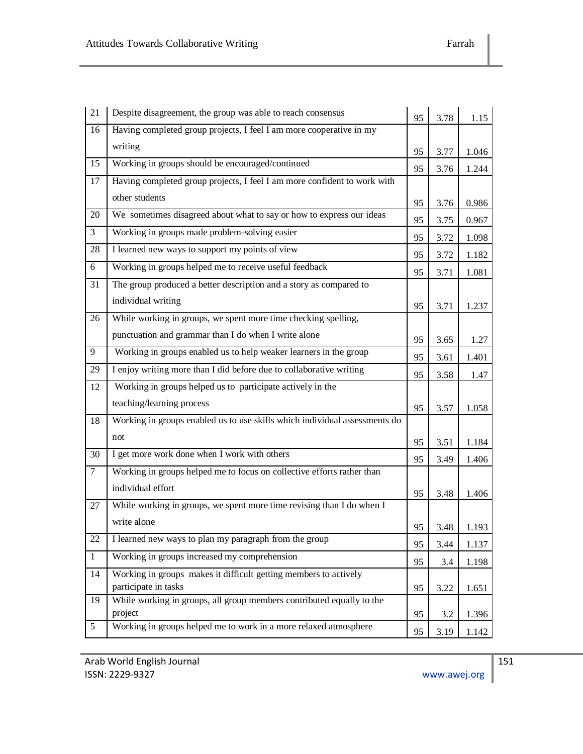| 21              | Despite disagreement, the group was able to reach consensus                      | 95 | 3.78 | 1.15  |
|-----------------|----------------------------------------------------------------------------------|----|------|-------|
| 16              | Having completed group projects, I feel I am more cooperative in my              |    |      |       |
|                 | writing                                                                          | 95 | 3.77 | 1.046 |
| 15              | Working in groups should be encouraged/continued                                 | 95 | 3.76 | 1.244 |
| $\overline{17}$ | Having completed group projects, I feel I am more confident to work with         |    |      |       |
|                 | other students                                                                   | 95 | 3.76 | 0.986 |
| 20              | We sometimes disagreed about what to say or how to express our ideas             | 95 | 3.75 | 0.967 |
| 3               | Working in groups made problem-solving easier                                    | 95 | 3.72 | 1.098 |
| 28              | I learned new ways to support my points of view                                  | 95 | 3.72 | 1.182 |
| 6               | Working in groups helped me to receive useful feedback                           | 95 | 3.71 | 1.081 |
| 31              | The group produced a better description and a story as compared to               |    |      |       |
|                 | individual writing                                                               | 95 | 3.71 | 1.237 |
| 26              | While working in groups, we spent more time checking spelling,                   |    |      |       |
|                 | punctuation and grammar than I do when I write alone                             | 95 | 3.65 | 1.27  |
| 9               | Working in groups enabled us to help weaker learners in the group                | 95 | 3.61 | 1.401 |
| 29              | I enjoy writing more than I did before due to collaborative writing              | 95 | 3.58 | 1.47  |
| 12              | Working in groups helped us to participate actively in the                       |    |      |       |
|                 | teaching/learning process                                                        | 95 | 3.57 | 1.058 |
| 18              | Working in groups enabled us to use skills which individual assessments do       |    |      |       |
|                 | not                                                                              | 95 | 3.51 | 1.184 |
| 30              | I get more work done when I work with others                                     | 95 | 3.49 | 1.406 |
| $\tau$          | Working in groups helped me to focus on collective efforts rather than           |    |      |       |
|                 | individual effort                                                                | 95 | 3.48 | 1.406 |
| 27              | While working in groups, we spent more time revising than I do when I            |    |      |       |
|                 | write alone                                                                      | 95 | 3.48 | 1.193 |
| 22              | I learned new ways to plan my paragraph from the group                           | 95 | 3.44 | 1.137 |
| $\mathbf{1}$    | Working in groups increased my comprehension                                     | 95 | 3.4  | 1.198 |
| 14              | Working in groups makes it difficult getting members to actively                 |    |      |       |
|                 | participate in tasks                                                             | 95 | 3.22 | 1.651 |
| 19              | While working in groups, all group members contributed equally to the<br>project | 95 | 3.2  | 1.396 |
| 5               | Working in groups helped me to work in a more relaxed atmosphere                 | 95 | 3.19 | 1.142 |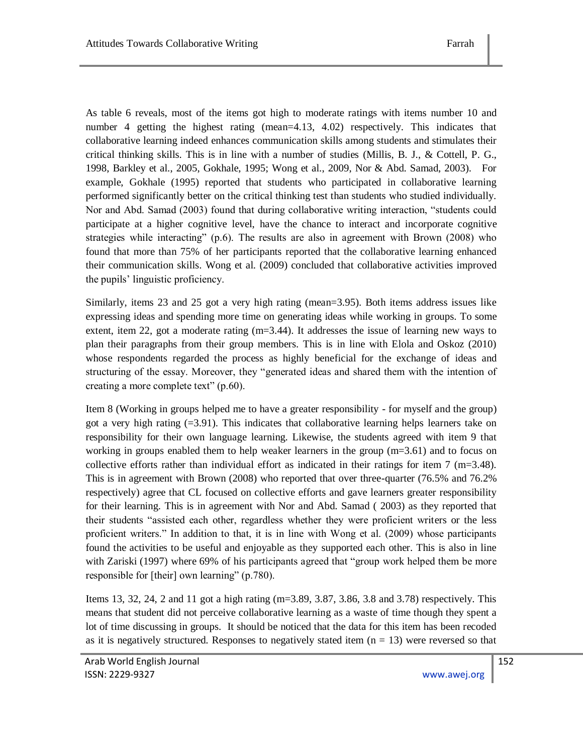As table 6 reveals, most of the items got high to moderate ratings with items number 10 and number 4 getting the highest rating (mean=4.13, 4.02) respectively. This indicates that collaborative learning indeed enhances communication skills among students and stimulates their critical thinking skills. This is in line with a number of studies (Millis, B. J., & Cottell, P. G., 1998, Barkley et al., 2005, Gokhale, 1995; Wong et al., 2009, Nor & Abd. Samad, 2003). For example, Gokhale (1995) reported that students who participated in collaborative learning performed significantly better on the critical thinking test than students who studied individually. Nor and Abd. Samad (2003) found that during collaborative writing interaction, "students could participate at a higher cognitive level, have the chance to interact and incorporate cognitive strategies while interacting" (p.6). The results are also in agreement with Brown (2008) who found that more than 75% of her participants reported that the collaborative learning enhanced their communication skills. Wong et al. (2009) concluded that collaborative activities improved the pupils" linguistic proficiency.

Similarly, items 23 and 25 got a very high rating (mean=3.95). Both items address issues like expressing ideas and spending more time on generating ideas while working in groups. To some extent, item 22, got a moderate rating  $(m=3.44)$ . It addresses the issue of learning new ways to plan their paragraphs from their group members. This is in line with Elola and Oskoz (2010) whose respondents regarded the process as highly beneficial for the exchange of ideas and structuring of the essay. Moreover, they "generated ideas and shared them with the intention of creating a more complete text" (p.60).

Item 8 (Working in groups helped me to have a greater responsibility - for myself and the group) got a very high rating  $(=3.91)$ . This indicates that collaborative learning helps learners take on responsibility for their own language learning. Likewise, the students agreed with item 9 that working in groups enabled them to help weaker learners in the group (m=3.61) and to focus on collective efforts rather than individual effort as indicated in their ratings for item 7 (m=3.48). This is in agreement with Brown (2008) who reported that over three-quarter (76.5% and 76.2% respectively) agree that CL focused on collective efforts and gave learners greater responsibility for their learning. This is in agreement with Nor and Abd. Samad ( 2003) as they reported that their students "assisted each other, regardless whether they were proficient writers or the less proficient writers." In addition to that, it is in line with Wong et al. (2009) whose participants found the activities to be useful and enjoyable as they supported each other. This is also in line with Zariski (1997) where 69% of his participants agreed that "group work helped them be more responsible for [their] own learning" (p.780).

Items 13, 32, 24, 2 and 11 got a high rating (m=3.89, 3.87, 3.86, 3.8 and 3.78) respectively. This means that student did not perceive collaborative learning as a waste of time though they spent a lot of time discussing in groups. It should be noticed that the data for this item has been recoded as it is negatively structured. Responses to negatively stated item  $(n = 13)$  were reversed so that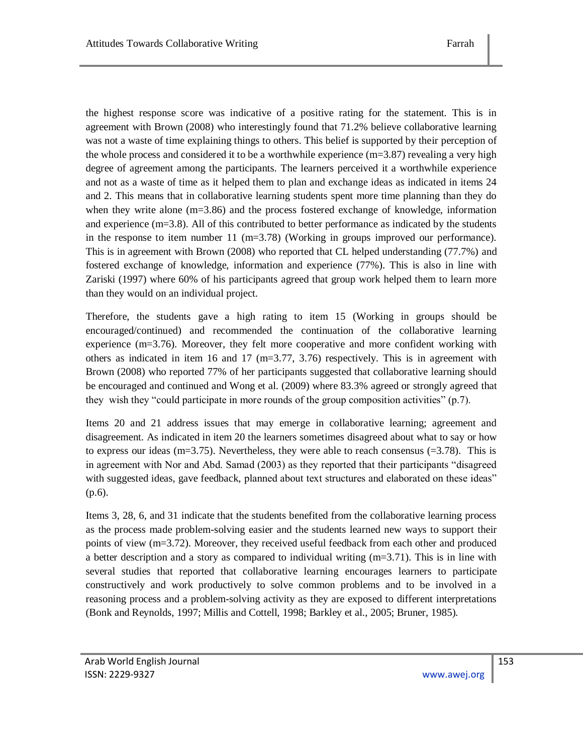the highest response score was indicative of a positive rating for the statement. This is in agreement with Brown (2008) who interestingly found that 71.2% believe collaborative learning was not a waste of time explaining things to others. This belief is supported by their perception of the whole process and considered it to be a worthwhile experience  $(m=3.87)$  revealing a very high degree of agreement among the participants. The learners perceived it a worthwhile experience and not as a waste of time as it helped them to plan and exchange ideas as indicated in items 24 and 2. This means that in collaborative learning students spent more time planning than they do when they write alone (m=3.86) and the process fostered exchange of knowledge, information and experience (m=3.8). All of this contributed to better performance as indicated by the students in the response to item number 11 (m=3.78) (Working in groups improved our performance). This is in agreement with Brown (2008) who reported that CL helped understanding (77.7%) and fostered exchange of knowledge, information and experience (77%). This is also in line with Zariski (1997) where 60% of his participants agreed that group work helped them to learn more than they would on an individual project.

Therefore, the students gave a high rating to item 15 (Working in groups should be encouraged/continued) and recommended the continuation of the collaborative learning experience (m=3.76). Moreover, they felt more cooperative and more confident working with others as indicated in item 16 and 17 ( $m=3.77, 3.76$ ) respectively. This is in agreement with Brown (2008) who reported 77% of her participants suggested that collaborative learning should be encouraged and continued and Wong et al. (2009) where 83.3% agreed or strongly agreed that they wish they "could participate in more rounds of the group composition activities" (p.7).

Items 20 and 21 address issues that may emerge in collaborative learning; agreement and disagreement. As indicated in item 20 the learners sometimes disagreed about what to say or how to express our ideas  $(m=3.75)$ . Nevertheless, they were able to reach consensus  $(=3.78)$ . This is in agreement with Nor and Abd. Samad (2003) as they reported that their participants "disagreed with suggested ideas, gave feedback, planned about text structures and elaborated on these ideas" (p.6).

Items 3, 28, 6, and 31 indicate that the students benefited from the collaborative learning process as the process made problem-solving easier and the students learned new ways to support their points of view (m=3.72). Moreover, they received useful feedback from each other and produced a better description and a story as compared to individual writing  $(m=3.71)$ . This is in line with several studies that reported that collaborative learning encourages learners to participate constructively and work productively to solve common problems and to be involved in a reasoning process and a problem-solving activity as they are exposed to different interpretations (Bonk and Reynolds, 1997; Millis and Cottell, 1998; Barkley et al., 2005; Bruner, 1985).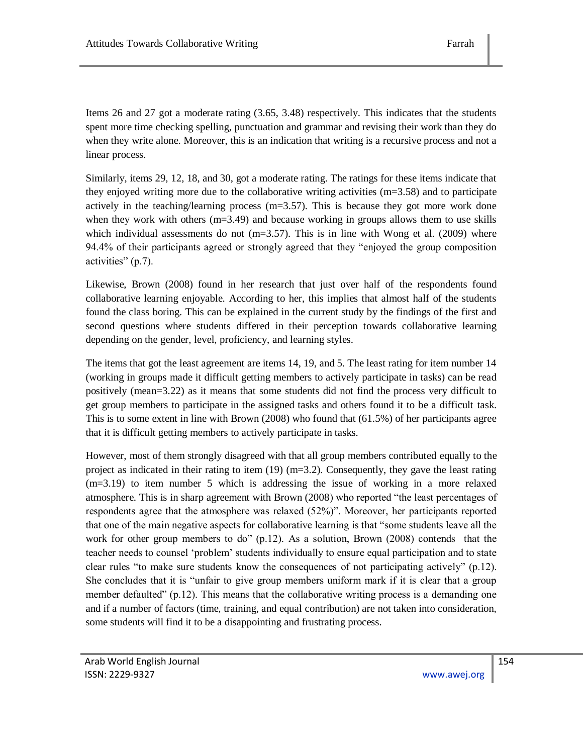Items 26 and 27 got a moderate rating (3.65, 3.48) respectively. This indicates that the students spent more time checking spelling, punctuation and grammar and revising their work than they do when they write alone. Moreover, this is an indication that writing is a recursive process and not a linear process.

Similarly, items 29, 12, 18, and 30, got a moderate rating. The ratings for these items indicate that they enjoyed writing more due to the collaborative writing activities (m=3.58) and to participate actively in the teaching/learning process  $(m=3.57)$ . This is because they got more work done when they work with others (m=3.49) and because working in groups allows them to use skills which individual assessments do not  $(m=3.57)$ . This is in line with Wong et al. (2009) where 94.4% of their participants agreed or strongly agreed that they "enjoyed the group composition activities" (p.7).

Likewise, Brown (2008) found in her research that just over half of the respondents found collaborative learning enjoyable. According to her, this implies that almost half of the students found the class boring. This can be explained in the current study by the findings of the first and second questions where students differed in their perception towards collaborative learning depending on the gender, level, proficiency, and learning styles.

The items that got the least agreement are items 14, 19, and 5. The least rating for item number 14 (working in groups made it difficult getting members to actively participate in tasks) can be read positively (mean=3.22) as it means that some students did not find the process very difficult to get group members to participate in the assigned tasks and others found it to be a difficult task. This is to some extent in line with Brown (2008) who found that (61.5%) of her participants agree that it is difficult getting members to actively participate in tasks.

However, most of them strongly disagreed with that all group members contributed equally to the project as indicated in their rating to item  $(19)$  (m=3.2). Consequently, they gave the least rating (m=3.19) to item number 5 which is addressing the issue of working in a more relaxed atmosphere. This is in sharp agreement with Brown (2008) who reported "the least percentages of respondents agree that the atmosphere was relaxed (52%)". Moreover, her participants reported that one of the main negative aspects for collaborative learning is that "some students leave all the work for other group members to do" (p.12). As a solution, Brown (2008) contends that the teacher needs to counsel "problem" students individually to ensure equal participation and to state clear rules "to make sure students know the consequences of not participating actively" (p.12). She concludes that it is "unfair to give group members uniform mark if it is clear that a group member defaulted" (p.12). This means that the collaborative writing process is a demanding one and if a number of factors (time, training, and equal contribution) are not taken into consideration, some students will find it to be a disappointing and frustrating process.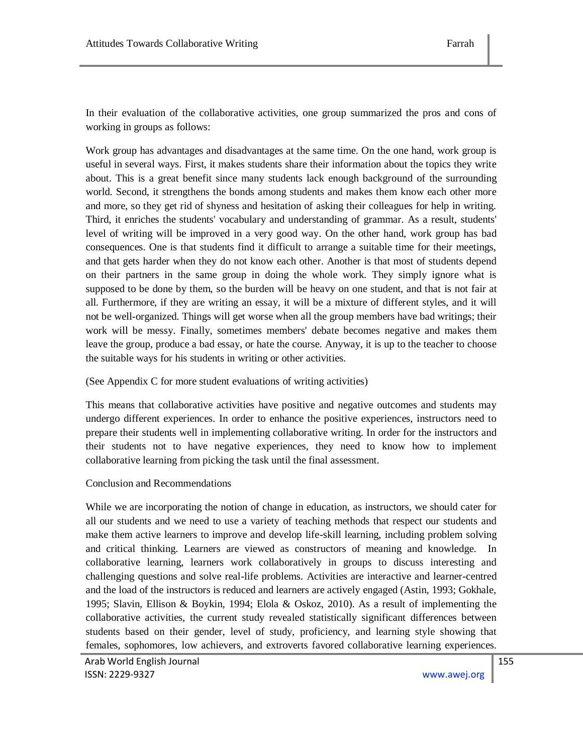In their evaluation of the collaborative activities, one group summarized the pros and cons of working in groups as follows:

Work group has advantages and disadvantages at the same time. On the one hand, work group is useful in several ways. First, it makes students share their information about the topics they write about. This is a great benefit since many students lack enough background of the surrounding world. Second, it strengthens the bonds among students and makes them know each other more and more, so they get rid of shyness and hesitation of asking their colleagues for help in writing. Third, it enriches the students' vocabulary and understanding of grammar. As a result, students' level of writing will be improved in a very good way. On the other hand, work group has bad consequences. One is that students find it difficult to arrange a suitable time for their meetings, and that gets harder when they do not know each other. Another is that most of students depend on their partners in the same group in doing the whole work. They simply ignore what is supposed to be done by them, so the burden will be heavy on one student, and that is not fair at all. Furthermore, if they are writing an essay, it will be a mixture of different styles, and it will not be well-organized. Things will get worse when all the group members have bad writings; their work will be messy. Finally, sometimes members' debate becomes negative and makes them leave the group, produce a bad essay, or hate the course. Anyway, it is up to the teacher to choose the suitable ways for his students in writing or other activities.

#### (See Appendix C for more student evaluations of writing activities)

This means that collaborative activities have positive and negative outcomes and students may undergo different experiences. In order to enhance the positive experiences, instructors need to prepare their students well in implementing collaborative writing. In order for the instructors and their students not to have negative experiences, they need to know how to implement collaborative learning from picking the task until the final assessment.

#### Conclusion and Recommendations

While we are incorporating the notion of change in education, as instructors, we should cater for all our students and we need to use a variety of teaching methods that respect our students and make them active learners to improve and develop life-skill learning, including problem solving and critical thinking. Learners are viewed as constructors of meaning and knowledge. In collaborative learning, learners work collaboratively in groups to discuss interesting and challenging questions and solve real-life problems. Activities are interactive and learner-centred and the load of the instructors is reduced and learners are actively engaged (Astin, 1993; Gokhale, 1995; Slavin, Ellison & Boykin, 1994; Elola & Oskoz, 2010). As a result of implementing the collaborative activities, the current study revealed statistically significant differences between students based on their gender, level of study, proficiency, and learning style showing that females, sophomores, low achievers, and extroverts favored collaborative learning experiences.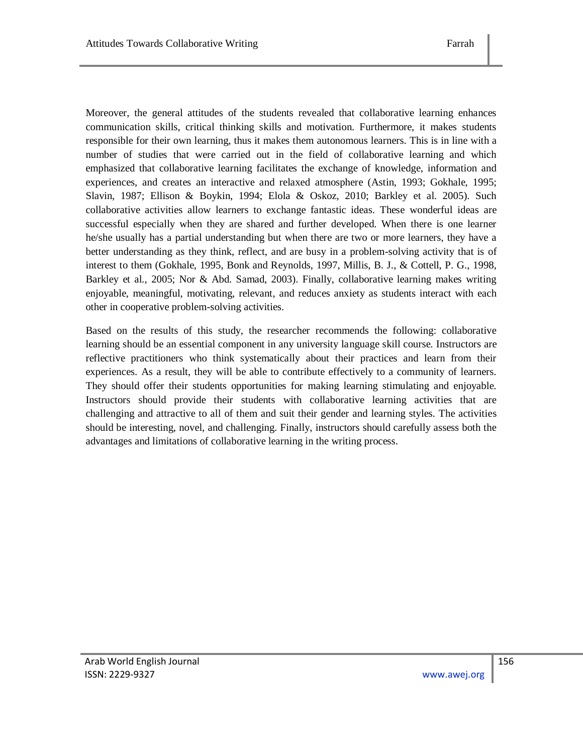Moreover, the general attitudes of the students revealed that collaborative learning enhances communication skills, critical thinking skills and motivation. Furthermore, it makes students responsible for their own learning, thus it makes them autonomous learners. This is in line with a number of studies that were carried out in the field of collaborative learning and which emphasized that collaborative learning facilitates the exchange of knowledge, information and experiences, and creates an interactive and relaxed atmosphere (Astin, 1993; Gokhale, 1995; Slavin, 1987; Ellison & Boykin, 1994; Elola & Oskoz, 2010; Barkley et al. 2005). Such collaborative activities allow learners to exchange fantastic ideas. These wonderful ideas are successful especially when they are shared and further developed. When there is one learner he/she usually has a partial understanding but when there are two or more learners, they have a better understanding as they think, reflect, and are busy in a problem-solving activity that is of interest to them (Gokhale, 1995, Bonk and Reynolds, 1997, Millis, B. J., & Cottell, P. G., 1998, Barkley et al., 2005; Nor & Abd. Samad, 2003). Finally, collaborative learning makes writing enjoyable, meaningful, motivating, relevant, and reduces anxiety as students interact with each other in cooperative problem-solving activities.

Based on the results of this study, the researcher recommends the following: collaborative learning should be an essential component in any university language skill course. Instructors are reflective practitioners who think systematically about their practices and learn from their experiences. As a result, they will be able to contribute effectively to a community of learners. They should offer their students opportunities for making learning stimulating and enjoyable. Instructors should provide their students with collaborative learning activities that are challenging and attractive to all of them and suit their gender and learning styles. The activities should be interesting, novel, and challenging. Finally, instructors should carefully assess both the advantages and limitations of collaborative learning in the writing process.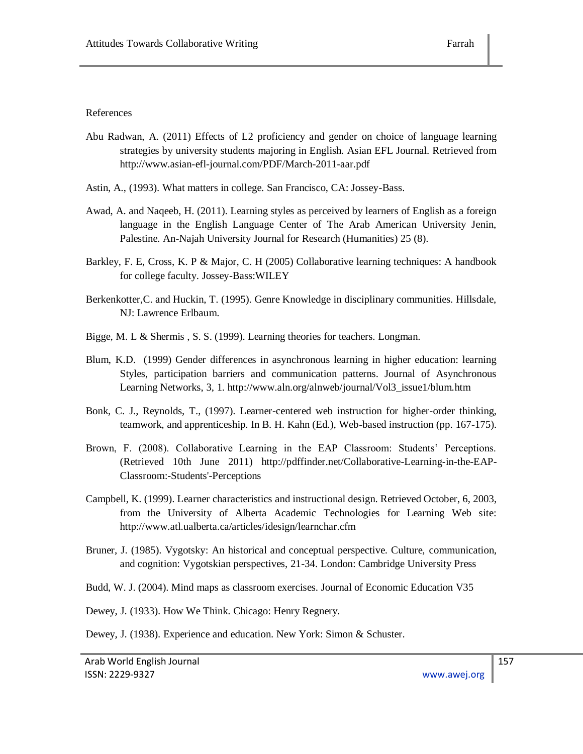#### References

- Abu Radwan, A. (2011) Effects of L2 proficiency and gender on choice of language learning strategies by university students majoring in English. Asian EFL Journal. Retrieved from http://www.asian-efl-journal.com/PDF/March-2011-aar.pdf
- Astin, A., (1993). What matters in college. San Francisco, CA: Jossey-Bass.
- Awad, A. and Naqeeb, H. (2011). Learning styles as perceived by learners of English as a foreign language in the English Language Center of The Arab American University Jenin, Palestine. An-Najah University Journal for Research (Humanities) 25 (8).
- Barkley, F. E, Cross, K. P & Major, C. H (2005) Collaborative learning techniques: A handbook for college faculty. Jossey-Bass:WILEY
- Berkenkotter,C. and Huckin, T. (1995). Genre Knowledge in disciplinary communities. Hillsdale, NJ: Lawrence Erlbaum.
- Bigge, M. L & Shermis , S. S. (1999). Learning theories for teachers. Longman.
- Blum, K.D. (1999) Gender differences in asynchronous learning in higher education: learning Styles, participation barriers and communication patterns. Journal of Asynchronous Learning Networks, 3, 1. http://www.aln.org/alnweb/journal/Vol3\_issue1/blum.htm
- Bonk, C. J., Reynolds, T., (1997). Learner-centered web instruction for higher-order thinking, teamwork, and apprenticeship. In B. H. Kahn (Ed.), Web-based instruction (pp. 167-175).
- Brown, F. (2008). Collaborative Learning in the EAP Classroom: Students" Perceptions. (Retrieved 10th June 2011) http://pdffinder.net/Collaborative-Learning-in-the-EAP-Classroom:-Students'-Perceptions
- Campbell, K. (1999). Learner characteristics and instructional design. Retrieved October, 6, 2003, from the University of Alberta Academic Technologies for Learning Web site: http://www.atl.ualberta.ca/articles/idesign/learnchar.cfm
- Bruner, J. (1985). Vygotsky: An historical and conceptual perspective. Culture, communication, and cognition: Vygotskian perspectives, 21-34. London: Cambridge University Press
- Budd, W. J. (2004). Mind maps as classroom exercises. Journal of Economic Education V35

Dewey, J. (1933). How We Think. Chicago: Henry Regnery.

Dewey, J. (1938). Experience and education. New York: Simon & Schuster.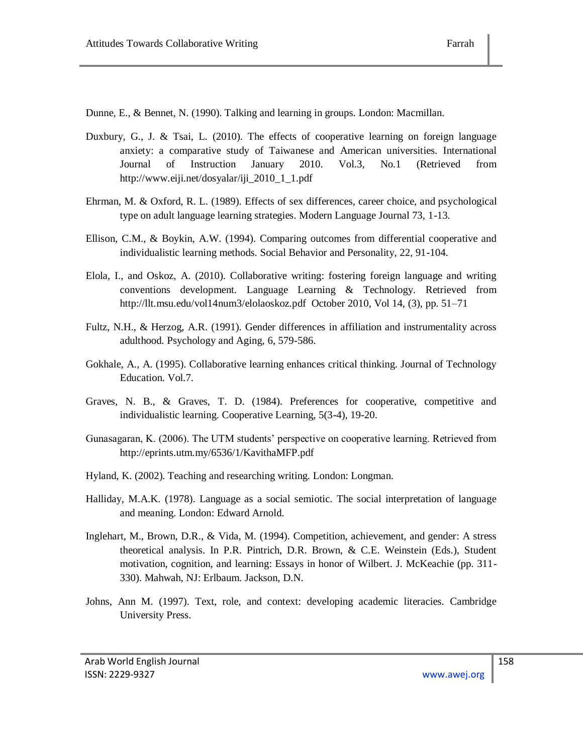Dunne, E., & Bennet, N. (1990). Talking and learning in groups. London: Macmillan.

- Duxbury, G., J. & Tsai, L. (2010). The effects of cooperative learning on foreign language anxiety: a comparative study of Taiwanese and American universities. International Journal of Instruction January 2010. Vol.3, No.1 (Retrieved from http://www.eiji.net/dosyalar/iji\_2010\_1\_1.pdf
- Ehrman, M. & Oxford, R. L. (1989). Effects of sex differences, career choice, and psychological type on adult language learning strategies. Modern Language Journal 73, 1-13.
- Ellison, C.M., & Boykin, A.W. (1994). Comparing outcomes from differential cooperative and individualistic learning methods. Social Behavior and Personality, 22, 91-104.
- Elola, I., and Oskoz, A. (2010). Collaborative writing: fostering foreign language and writing conventions development. Language Learning & Technology. Retrieved from http://llt.msu.edu/vol14num3/elolaoskoz.pdf October 2010, Vol 14, (3), pp. 51–71
- Fultz, N.H., & Herzog, A.R. (1991). Gender differences in affiliation and instrumentality across adulthood. Psychology and Aging, 6, 579-586.
- Gokhale, A., A. (1995). Collaborative learning enhances critical thinking. Journal of Technology Education. Vol.7.
- Graves, N. B., & Graves, T. D. (1984). Preferences for cooperative, competitive and individualistic learning. Cooperative Learning, 5(3-4), 19-20.
- Gunasagaran, K. (2006). The UTM students" perspective on cooperative learning. Retrieved from http://eprints.utm.my/6536/1/KavithaMFP.pdf
- Hyland, K. (2002). Teaching and researching writing. London: Longman.
- Halliday, M.A.K. (1978). Language as a social semiotic. The social interpretation of language and meaning. London: Edward Arnold.
- Inglehart, M., Brown, D.R., & Vida, M. (1994). Competition, achievement, and gender: A stress theoretical analysis. In P.R. Pintrich, D.R. Brown, & C.E. Weinstein (Eds.), Student motivation, cognition, and learning: Essays in honor of Wilbert. J. McKeachie (pp. 311- 330). Mahwah, NJ: Erlbaum. Jackson, D.N.
- Johns, Ann M. (1997). Text, role, and context: developing academic literacies. Cambridge University Press.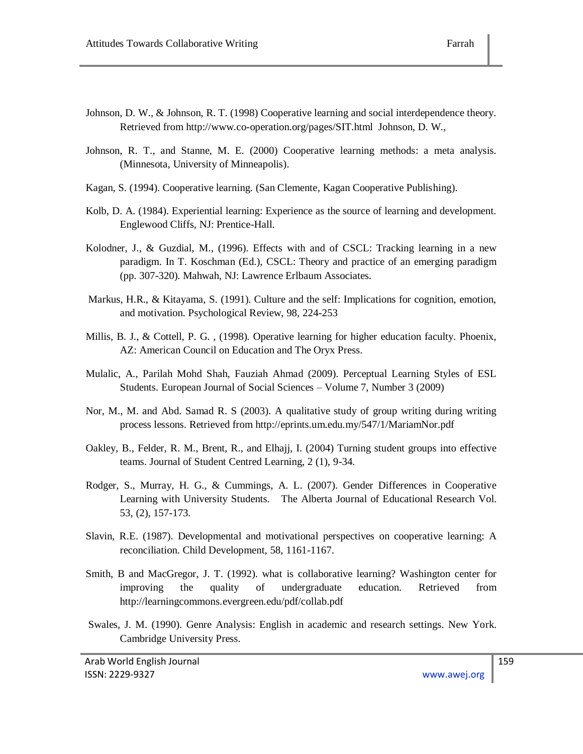- Johnson, D. W., & Johnson, R. T. (1998) Cooperative learning and social interdependence theory. Retrieved from http://www.co-operation.org/pages/SIT.html Johnson, D. W.,
- Johnson, R. T., and Stanne, M. E. (2000) Cooperative learning methods: a meta analysis. (Minnesota, University of Minneapolis).
- Kagan, S. (1994). Cooperative learning. (San Clemente, Kagan Cooperative Publishing).
- Kolb, D. A. (1984). Experiential learning: Experience as the source of learning and development. Englewood Cliffs, NJ: Prentice-Hall.
- Kolodner, J., & Guzdial, M., (1996). Effects with and of CSCL: Tracking learning in a new paradigm. In T. Koschman (Ed.), CSCL: Theory and practice of an emerging paradigm (pp. 307-320). Mahwah, NJ: Lawrence Erlbaum Associates.
- Markus, H.R., & Kitayama, S. (1991). Culture and the self: Implications for cognition, emotion, and motivation. Psychological Review, 98, 224-253
- Millis, B. J., & Cottell, P. G. , (1998). Operative learning for higher education faculty. Phoenix, AZ: American Council on Education and The Oryx Press.
- Mulalic, A., Parilah Mohd Shah, Fauziah Ahmad (2009). Perceptual Learning Styles of ESL Students. European Journal of Social Sciences – Volume 7, Number 3 (2009)
- Nor, M., M. and Abd. Samad R. S (2003). A qualitative study of group writing during writing process lessons. Retrieved from http://eprints.um.edu.my/547/1/MariamNor.pdf
- Oakley, B., Felder, R. M., Brent, R., and Elhajj, I. (2004) Turning student groups into effective teams. Journal of Student Centred Learning, 2 (1), 9-34.
- Rodger, S., Murray, H. G., & Cummings, A. L. (2007). Gender Differences in Cooperative Learning with University Students. The Alberta Journal of Educational Research Vol. 53, (2), 157-173.
- Slavin, R.E. (1987). Developmental and motivational perspectives on cooperative learning: A reconciliation. Child Development, 58, 1161-1167.
- Smith, B and MacGregor, J. T. (1992). what is collaborative learning? Washington center for improving the quality of undergraduate education. Retrieved from http://learningcommons.evergreen.edu/pdf/collab.pdf
- Swales, J. M. (1990). Genre Analysis: English in academic and research settings. New York. Cambridge University Press.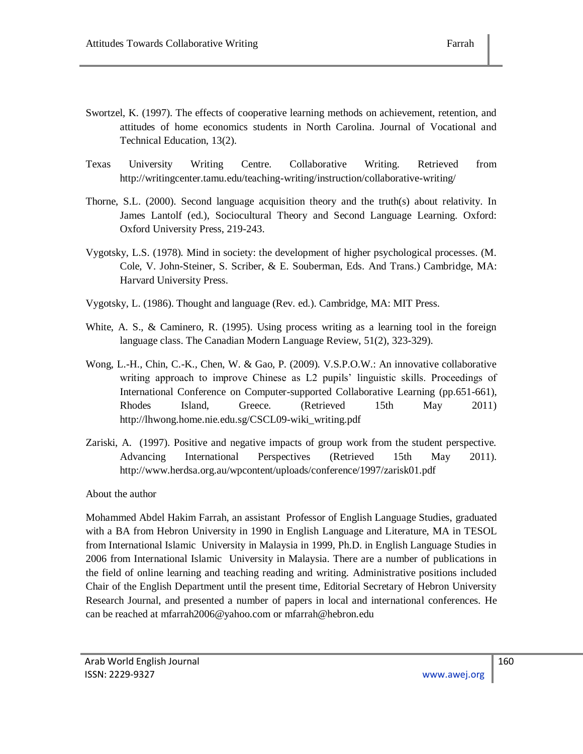- Swortzel, K. (1997). The effects of cooperative learning methods on achievement, retention, and attitudes of home economics students in North Carolina. Journal of Vocational and Technical Education, 13(2).
- Texas University Writing Centre. Collaborative Writing. Retrieved from http://writingcenter.tamu.edu/teaching-writing/instruction/collaborative-writing/
- Thorne, S.L. (2000). Second language acquisition theory and the truth(s) about relativity. In James Lantolf (ed.), Sociocultural Theory and Second Language Learning. Oxford: Oxford University Press, 219-243.
- Vygotsky, L.S. (1978). Mind in society: the development of higher psychological processes. (M. Cole, V. John-Steiner, S. Scriber, & E. Souberman, Eds. And Trans.) Cambridge, MA: Harvard University Press.
- Vygotsky, L. (1986). Thought and language (Rev. ed.). Cambridge, MA: MIT Press.
- White, A. S., & Caminero, R. (1995). Using process writing as a learning tool in the foreign language class. The Canadian Modern Language Review, 51(2), 323-329).
- Wong, L.-H., Chin, C.-K., Chen, W. & Gao, P. (2009). V.S.P.O.W.: An innovative collaborative writing approach to improve Chinese as L2 pupils" linguistic skills. Proceedings of International Conference on Computer-supported Collaborative Learning (pp.651-661), Rhodes Island, Greece. (Retrieved 15th May 2011) http://lhwong.home.nie.edu.sg/CSCL09-wiki\_writing.pdf
- Zariski, A. (1997). Positive and negative impacts of group work from the student perspective. Advancing International Perspectives (Retrieved 15th May 2011). http://www.herdsa.org.au/wpcontent/uploads/conference/1997/zarisk01.pdf

About the author

Mohammed Abdel Hakim Farrah, an assistant Professor of English Language Studies, graduated with a BA from Hebron University in 1990 in English Language and Literature, MA in TESOL from International Islamic University in Malaysia in 1999, Ph.D. in English Language Studies in 2006 from International Islamic University in Malaysia. There are a number of publications in the field of online learning and teaching reading and writing. Administrative positions included Chair of the English Department until the present time, Editorial Secretary of Hebron University Research Journal, and presented a number of papers in local and international conferences. He can be reached at mfarrah2006@yahoo.com or mfarrah@hebron.edu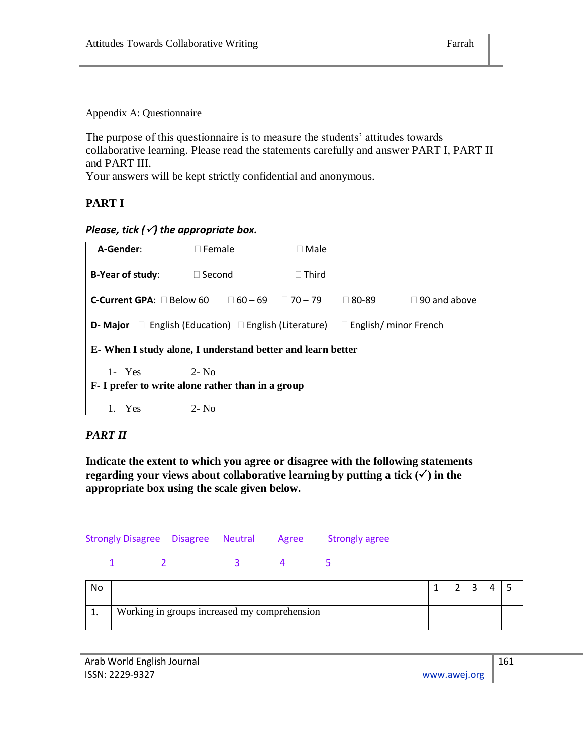The purpose of this questionnaire is to measure the students' attitudes towards collaborative learning. Please read the statements carefully and answer PART I, PART II and PART III.

Your answers will be kept strictly confidential and anonymous.

# **PART I**

# *Please, tick () the appropriate box.*

| A-Gender:                                                                                                   | $\Box$ Female | Male                             |              |                     |  |  |  |
|-------------------------------------------------------------------------------------------------------------|---------------|----------------------------------|--------------|---------------------|--|--|--|
| B-Year of study:                                                                                            | $\Box$ Second | $\Box$ Third                     |              |                     |  |  |  |
| C-Current GPA: □ Below 60                                                                                   |               | $\Box$ 60 – 69<br>$\Box$ 70 – 79 | $\Box$ 80-89 | $\Box$ 90 and above |  |  |  |
| $\Box$ English/ minor French<br>English (Education) $\Box$ English (Literature)<br>D-Major<br>$\mathcal{L}$ |               |                                  |              |                     |  |  |  |
| E-When I study alone, I understand better and learn better                                                  |               |                                  |              |                     |  |  |  |
| $1 - Yes$                                                                                                   | $2 - No$      |                                  |              |                     |  |  |  |
| F- I prefer to write alone rather than in a group                                                           |               |                                  |              |                     |  |  |  |
| <b>Yes</b>                                                                                                  | $2 - No$      |                                  |              |                     |  |  |  |

# *PART II*

**Indicate the extent to which you agree or disagree with the following statements regarding your views about collaborative learning by putting a tick**  $(\checkmark)$  **in the appropriate box using the scale given below.**

| Strongly Disagree Disagree Neutral Agree Strongly agree |  |                                                                                                                                                                                                                                                                                                                                                                                                       |  |
|---------------------------------------------------------|--|-------------------------------------------------------------------------------------------------------------------------------------------------------------------------------------------------------------------------------------------------------------------------------------------------------------------------------------------------------------------------------------------------------|--|
|                                                         |  | $\overline{\mathbf{A}}$ and $\overline{\mathbf{A}}$ and $\overline{\mathbf{A}}$ and $\overline{\mathbf{A}}$ and $\overline{\mathbf{A}}$ and $\overline{\mathbf{A}}$ and $\overline{\mathbf{A}}$ and $\overline{\mathbf{A}}$ and $\overline{\mathbf{A}}$ and $\overline{\mathbf{A}}$ and $\overline{\mathbf{A}}$ and $\overline{\mathbf{A}}$ and $\overline{\mathbf{A}}$ and $\overline{\mathbf{A}}$ a |  |

| No |                                              |  |  |  |
|----|----------------------------------------------|--|--|--|
| ᅩ. | Working in groups increased my comprehension |  |  |  |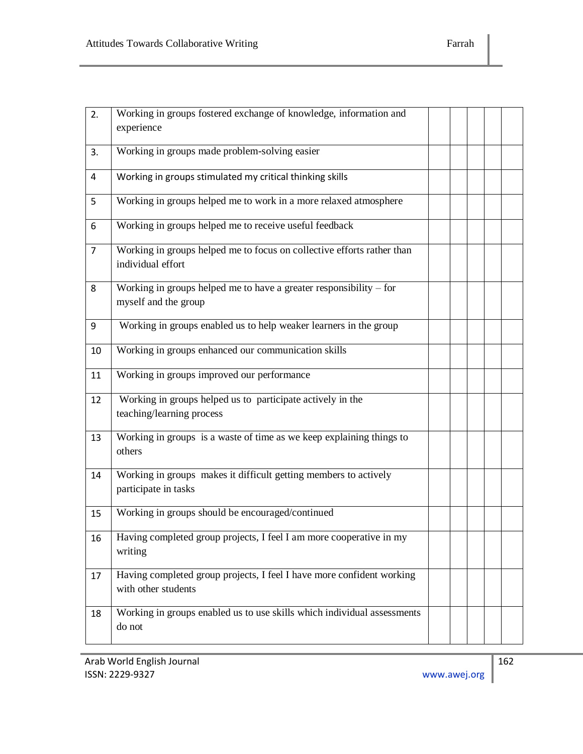| 2.             | Working in groups fostered exchange of knowledge, information and<br>experience              |  |  |  |
|----------------|----------------------------------------------------------------------------------------------|--|--|--|
| 3.             | Working in groups made problem-solving easier                                                |  |  |  |
| 4              | Working in groups stimulated my critical thinking skills                                     |  |  |  |
| 5              | Working in groups helped me to work in a more relaxed atmosphere                             |  |  |  |
| 6              | Working in groups helped me to receive useful feedback                                       |  |  |  |
| $\overline{7}$ | Working in groups helped me to focus on collective efforts rather than<br>individual effort  |  |  |  |
| 8              | Working in groups helped me to have a greater responsibility $-$ for<br>myself and the group |  |  |  |
| 9              | Working in groups enabled us to help weaker learners in the group                            |  |  |  |
| 10             | Working in groups enhanced our communication skills                                          |  |  |  |
| 11             | Working in groups improved our performance                                                   |  |  |  |
| 12             | Working in groups helped us to participate actively in the<br>teaching/learning process      |  |  |  |
| 13             | Working in groups is a waste of time as we keep explaining things to<br>others               |  |  |  |
| 14             | Working in groups makes it difficult getting members to actively<br>participate in tasks     |  |  |  |
| 15             | Working in groups should be encouraged/continued                                             |  |  |  |
| 16             | Having completed group projects, I feel I am more cooperative in my<br>writing               |  |  |  |
| 17             | Having completed group projects, I feel I have more confident working<br>with other students |  |  |  |
| 18             | Working in groups enabled us to use skills which individual assessments<br>do not            |  |  |  |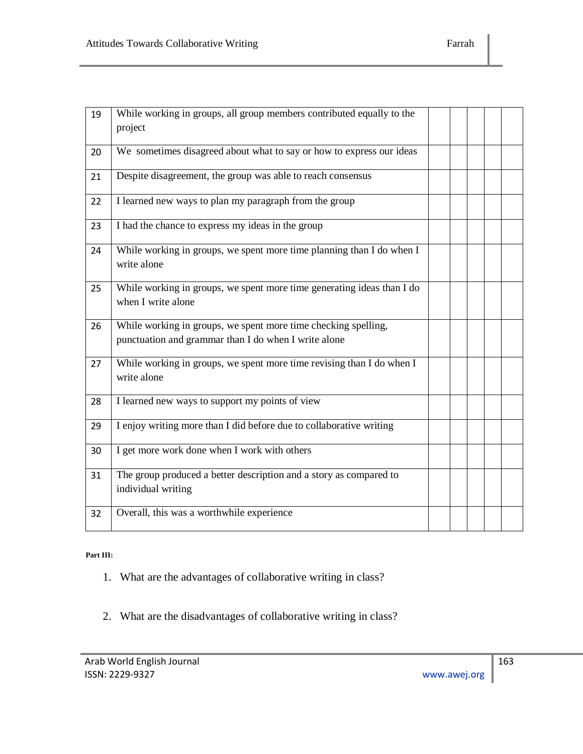| 19 | While working in groups, all group members contributed equally to the<br>project                                       |  |  |  |
|----|------------------------------------------------------------------------------------------------------------------------|--|--|--|
| 20 | We sometimes disagreed about what to say or how to express our ideas                                                   |  |  |  |
| 21 | Despite disagreement, the group was able to reach consensus                                                            |  |  |  |
| 22 | I learned new ways to plan my paragraph from the group                                                                 |  |  |  |
| 23 | I had the chance to express my ideas in the group                                                                      |  |  |  |
| 24 | While working in groups, we spent more time planning than I do when I<br>write alone                                   |  |  |  |
| 25 | While working in groups, we spent more time generating ideas than I do<br>when I write alone                           |  |  |  |
| 26 | While working in groups, we spent more time checking spelling,<br>punctuation and grammar than I do when I write alone |  |  |  |
| 27 | While working in groups, we spent more time revising than I do when I<br>write alone                                   |  |  |  |
| 28 | I learned new ways to support my points of view                                                                        |  |  |  |
| 29 | I enjoy writing more than I did before due to collaborative writing                                                    |  |  |  |
| 30 | I get more work done when I work with others                                                                           |  |  |  |
| 31 | The group produced a better description and a story as compared to<br>individual writing                               |  |  |  |
| 32 | Overall, this was a worthwhile experience                                                                              |  |  |  |

#### **Part III:**

- 1. What are the advantages of collaborative writing in class?
- 2. What are the disadvantages of collaborative writing in class?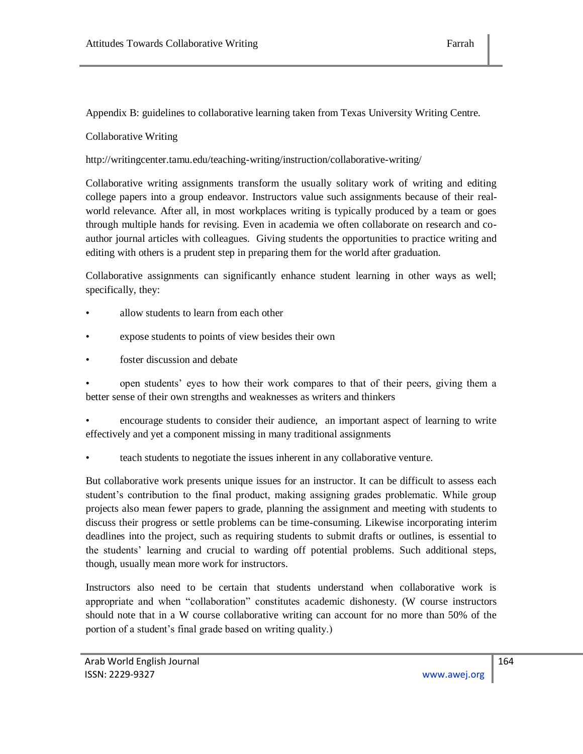Appendix B: guidelines to collaborative learning taken from Texas University Writing Centre.

# Collaborative Writing

http://writingcenter.tamu.edu/teaching-writing/instruction/collaborative-writing/

Collaborative writing assignments transform the usually solitary work of writing and editing college papers into a group endeavor. Instructors value such assignments because of their realworld relevance. After all, in most workplaces writing is typically produced by a team or goes through multiple hands for revising. Even in academia we often collaborate on research and coauthor journal articles with colleagues. Giving students the opportunities to practice writing and editing with others is a prudent step in preparing them for the world after graduation.

Collaborative assignments can significantly enhance student learning in other ways as well; specifically, they:

- allow students to learn from each other
- expose students to points of view besides their own
- foster discussion and debate

• open students" eyes to how their work compares to that of their peers, giving them a better sense of their own strengths and weaknesses as writers and thinkers

• encourage students to consider their audience, an important aspect of learning to write effectively and yet a component missing in many traditional assignments

• teach students to negotiate the issues inherent in any collaborative venture.

But collaborative work presents unique issues for an instructor. It can be difficult to assess each student"s contribution to the final product, making assigning grades problematic. While group projects also mean fewer papers to grade, planning the assignment and meeting with students to discuss their progress or settle problems can be time-consuming. Likewise incorporating interim deadlines into the project, such as requiring students to submit drafts or outlines, is essential to the students" learning and crucial to warding off potential problems. Such additional steps, though, usually mean more work for instructors.

Instructors also need to be certain that students understand when collaborative work is appropriate and when "collaboration" constitutes academic dishonesty. (W course instructors should note that in a W course collaborative writing can account for no more than 50% of the portion of a student"s final grade based on writing quality.)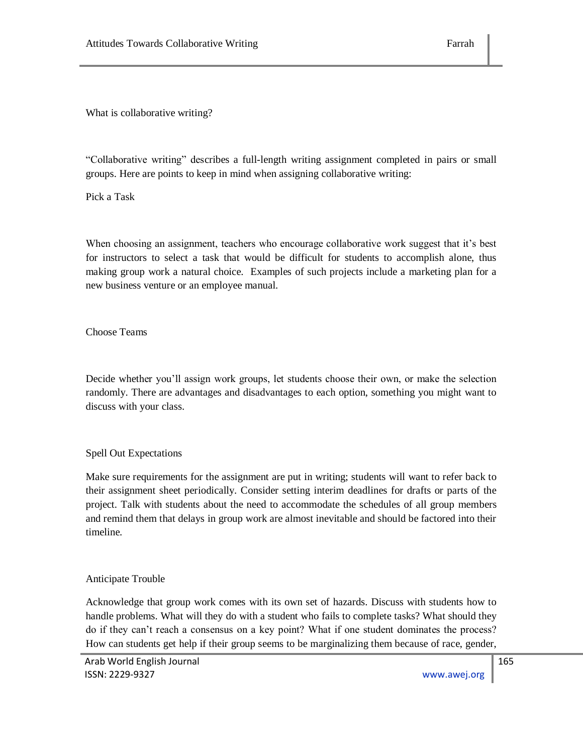What is collaborative writing?

"Collaborative writing" describes a full-length writing assignment completed in pairs or small groups. Here are points to keep in mind when assigning collaborative writing:

Pick a Task

When choosing an assignment, teachers who encourage collaborative work suggest that it's best for instructors to select a task that would be difficult for students to accomplish alone, thus making group work a natural choice. Examples of such projects include a marketing plan for a new business venture or an employee manual.

Choose Teams

Decide whether you"ll assign work groups, let students choose their own, or make the selection randomly. There are advantages and disadvantages to each option, something you might want to discuss with your class.

# Spell Out Expectations

Make sure requirements for the assignment are put in writing; students will want to refer back to their assignment sheet periodically. Consider setting interim deadlines for drafts or parts of the project. Talk with students about the need to accommodate the schedules of all group members and remind them that delays in group work are almost inevitable and should be factored into their timeline.

#### Anticipate Trouble

Acknowledge that group work comes with its own set of hazards. Discuss with students how to handle problems. What will they do with a student who fails to complete tasks? What should they do if they can"t reach a consensus on a key point? What if one student dominates the process? How can students get help if their group seems to be marginalizing them because of race, gender,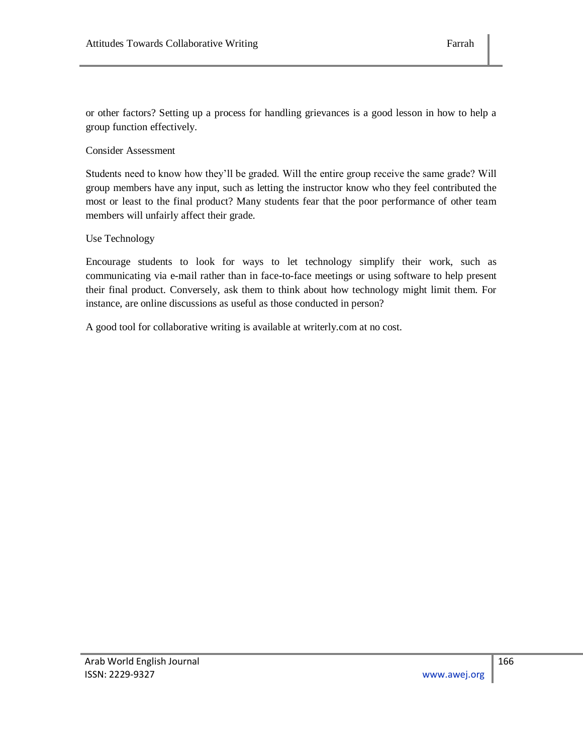or other factors? Setting up a process for handling grievances is a good lesson in how to help a group function effectively.

# Consider Assessment

Students need to know how they"ll be graded. Will the entire group receive the same grade? Will group members have any input, such as letting the instructor know who they feel contributed the most or least to the final product? Many students fear that the poor performance of other team members will unfairly affect their grade.

## Use Technology

Encourage students to look for ways to let technology simplify their work, such as communicating via e-mail rather than in face-to-face meetings or using software to help present their final product. Conversely, ask them to think about how technology might limit them. For instance, are online discussions as useful as those conducted in person?

A good tool for collaborative writing is available at writerly.com at no cost.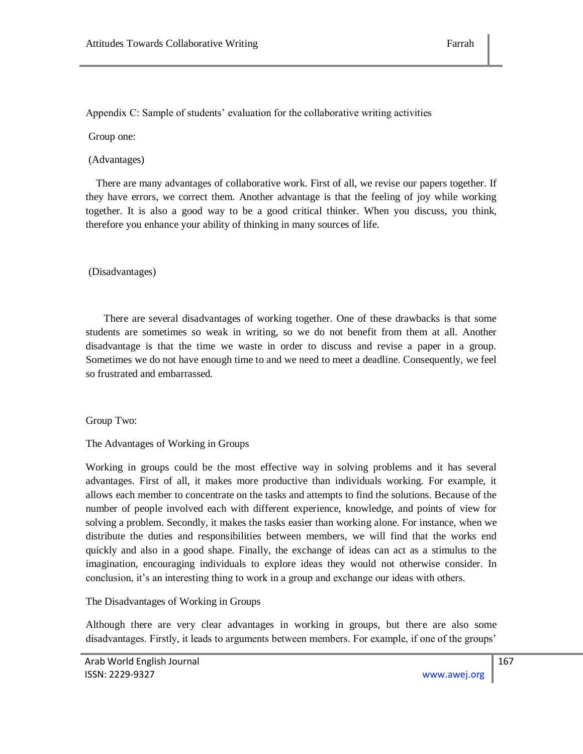Appendix C: Sample of students" evaluation for the collaborative writing activities

### Group one:

## (Advantages)

 There are many advantages of collaborative work. First of all, we revise our papers together. If they have errors, we correct them. Another advantage is that the feeling of joy while working together. It is also a good way to be a good critical thinker. When you discuss, you think, therefore you enhance your ability of thinking in many sources of life.

#### (Disadvantages)

 There are several disadvantages of working together. One of these drawbacks is that some students are sometimes so weak in writing, so we do not benefit from them at all. Another disadvantage is that the time we waste in order to discuss and revise a paper in a group. Sometimes we do not have enough time to and we need to meet a deadline. Consequently, we feel so frustrated and embarrassed.

#### Group Two:

#### The Advantages of Working in Groups

Working in groups could be the most effective way in solving problems and it has several advantages. First of all, it makes more productive than individuals working. For example, it allows each member to concentrate on the tasks and attempts to find the solutions. Because of the number of people involved each with different experience, knowledge, and points of view for solving a problem. Secondly, it makes the tasks easier than working alone. For instance, when we distribute the duties and responsibilities between members, we will find that the works end quickly and also in a good shape. Finally, the exchange of ideas can act as a stimulus to the imagination, encouraging individuals to explore ideas they would not otherwise consider. In conclusion, it's an interesting thing to work in a group and exchange our ideas with others.

The Disadvantages of Working in Groups

Although there are very clear advantages in working in groups, but there are also some disadvantages. Firstly, it leads to arguments between members. For example, if one of the groups'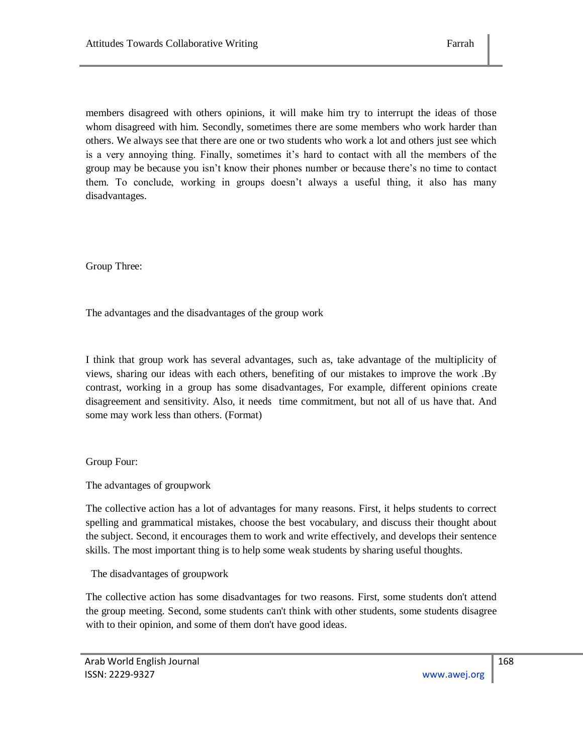members disagreed with others opinions, it will make him try to interrupt the ideas of those whom disagreed with him. Secondly, sometimes there are some members who work harder than others. We always see that there are one or two students who work a lot and others just see which is a very annoying thing. Finally, sometimes it"s hard to contact with all the members of the group may be because you isn"t know their phones number or because there"s no time to contact them. To conclude, working in groups doesn"t always a useful thing, it also has many disadvantages.

Group Three:

The advantages and the disadvantages of the group work

I think that group work has several advantages, such as, take advantage of the multiplicity of views, sharing our ideas with each others, benefiting of our mistakes to improve the work .By contrast, working in a group has some disadvantages, For example, different opinions create disagreement and sensitivity. Also, it needs time commitment, but not all of us have that. And some may work less than others. (Format)

Group Four:

The advantages of groupwork

The collective action has a lot of advantages for many reasons. First, it helps students to correct spelling and grammatical mistakes, choose the best vocabulary, and discuss their thought about the subject. Second, it encourages them to work and write effectively, and develops their sentence skills. The most important thing is to help some weak students by sharing useful thoughts.

The disadvantages of groupwork

The collective action has some disadvantages for two reasons. First, some students don't attend the group meeting. Second, some students can't think with other students, some students disagree with to their opinion, and some of them don't have good ideas.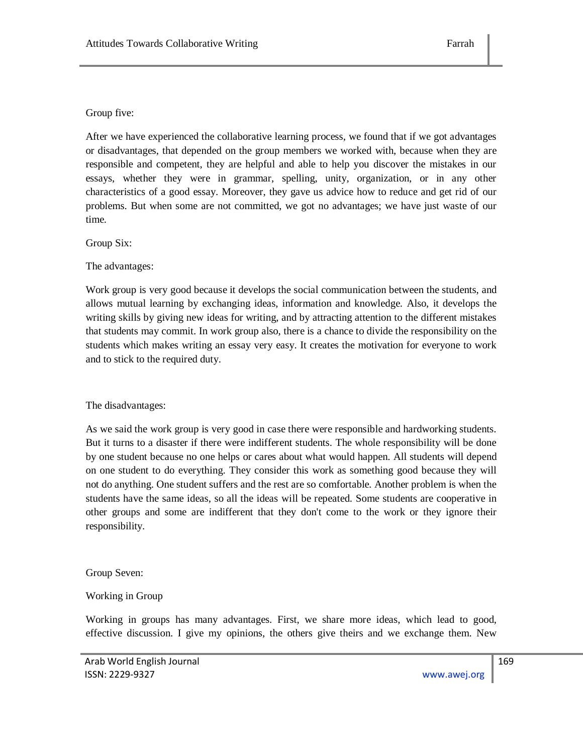#### Group five:

After we have experienced the collaborative learning process, we found that if we got advantages or disadvantages, that depended on the group members we worked with, because when they are responsible and competent, they are helpful and able to help you discover the mistakes in our essays, whether they were in grammar, spelling, unity, organization, or in any other characteristics of a good essay. Moreover, they gave us advice how to reduce and get rid of our problems. But when some are not committed, we got no advantages; we have just waste of our time.

Group Six:

The advantages:

Work group is very good because it develops the social communication between the students, and allows mutual learning by exchanging ideas, information and knowledge. Also, it develops the writing skills by giving new ideas for writing, and by attracting attention to the different mistakes that students may commit. In work group also, there is a chance to divide the responsibility on the students which makes writing an essay very easy. It creates the motivation for everyone to work and to stick to the required duty.

The disadvantages:

As we said the work group is very good in case there were responsible and hardworking students. But it turns to a disaster if there were indifferent students. The whole responsibility will be done by one student because no one helps or cares about what would happen. All students will depend on one student to do everything. They consider this work as something good because they will not do anything. One student suffers and the rest are so comfortable. Another problem is when the students have the same ideas, so all the ideas will be repeated. Some students are cooperative in other groups and some are indifferent that they don't come to the work or they ignore their responsibility.

Group Seven:

Working in Group

Working in groups has many advantages. First, we share more ideas, which lead to good, effective discussion. I give my opinions, the others give theirs and we exchange them. New